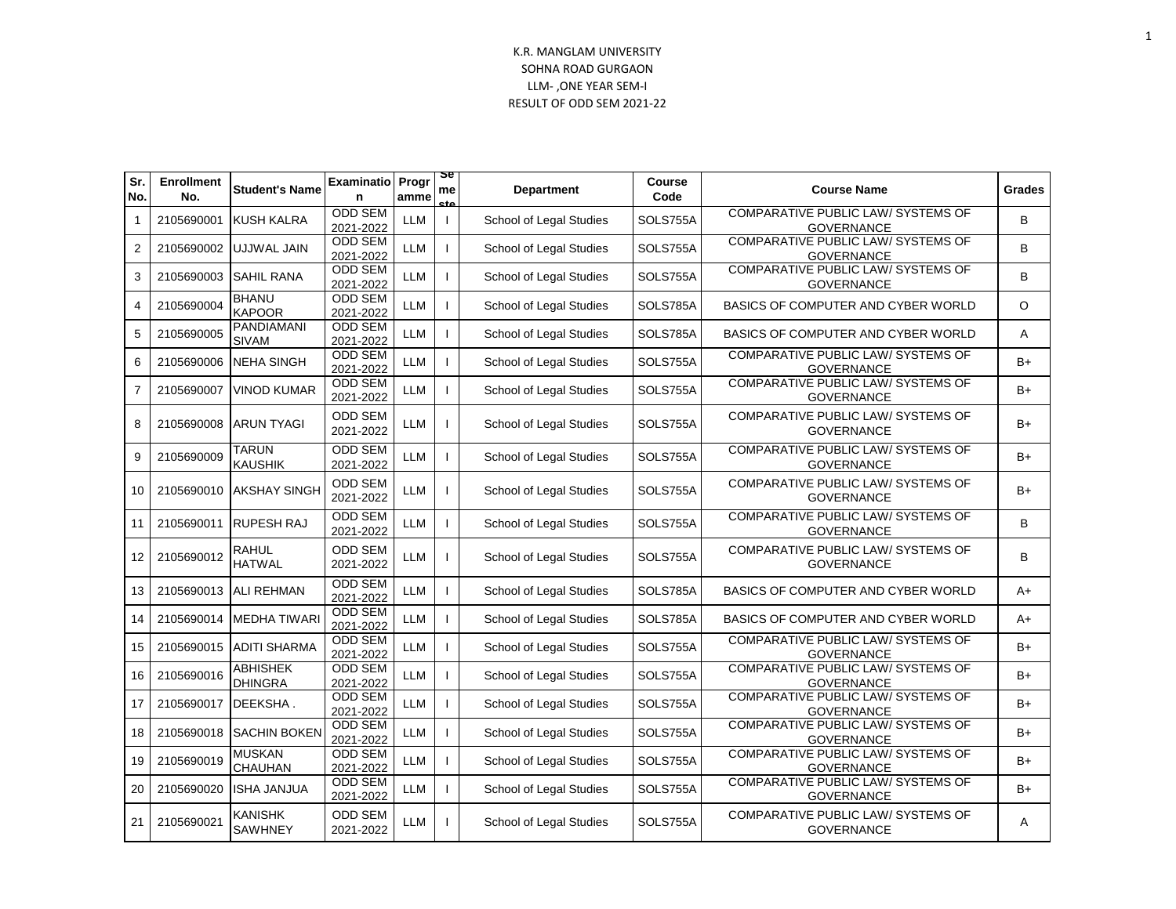| Sr.<br>No.     | <b>Enrollment</b><br>No. | <b>Student's Name</b>             | <b>Examinatio Progr</b><br>n | amme       | ञ्ड<br>me<br> | Department              | Course<br>Code | <b>Course Name</b>                                             | Grades   |
|----------------|--------------------------|-----------------------------------|------------------------------|------------|---------------|-------------------------|----------------|----------------------------------------------------------------|----------|
| 1              | 2105690001               | <b>KUSH KALRA</b>                 | <b>ODD SEM</b><br>2021-2022  | <b>LLM</b> | $\mathbf{I}$  | School of Legal Studies | SOLS755A       | <b>COMPARATIVE PUBLIC LAW/ SYSTEMS OF</b><br><b>GOVERNANCE</b> | B        |
| 2              | 2105690002               | UJJWAL JAIN                       | <b>ODD SEM</b><br>2021-2022  | <b>LLM</b> |               | School of Legal Studies | SOLS755A       | <b>COMPARATIVE PUBLIC LAW/ SYSTEMS OF</b><br><b>GOVERNANCE</b> | B        |
| 3              | 2105690003               | <b>SAHIL RANA</b>                 | <b>ODD SEM</b><br>2021-2022  | <b>LLM</b> |               | School of Legal Studies | SOLS755A       | COMPARATIVE PUBLIC LAW/ SYSTEMS OF<br><b>GOVERNANCE</b>        | B        |
| 4              | 2105690004               | <b>BHANU</b><br><b>KAPOOR</b>     | <b>ODD SEM</b><br>2021-2022  | <b>LLM</b> |               | School of Legal Studies | SOLS785A       | BASICS OF COMPUTER AND CYBER WORLD                             | $\Omega$ |
| 5              | 2105690005               | PANDIAMANI<br><b>SIVAM</b>        | <b>ODD SEM</b><br>2021-2022  | LLM        |               | School of Legal Studies | SOLS785A       | BASICS OF COMPUTER AND CYBER WORLD                             | A        |
| 6              | 2105690006               | <b>NEHA SINGH</b>                 | <b>ODD SEM</b><br>2021-2022  | <b>LLM</b> |               | School of Legal Studies | SOLS755A       | <b>COMPARATIVE PUBLIC LAW/ SYSTEMS OF</b><br><b>GOVERNANCE</b> | $B+$     |
| $\overline{7}$ | 2105690007               | <b>VINOD KUMAR</b>                | <b>ODD SEM</b><br>2021-2022  | <b>LLM</b> |               | School of Legal Studies | SOLS755A       | <b>COMPARATIVE PUBLIC LAW/ SYSTEMS OF</b><br><b>GOVERNANCE</b> | $B+$     |
| 8              | 2105690008               | <b>ARUN TYAGI</b>                 | <b>ODD SEM</b><br>2021-2022  | LLM        |               | School of Legal Studies | SOLS755A       | COMPARATIVE PUBLIC LAW/ SYSTEMS OF<br><b>GOVERNANCE</b>        | $B+$     |
| 9              | 2105690009               | <b>TARUN</b><br><b>KAUSHIK</b>    | <b>ODD SEM</b><br>2021-2022  | <b>LLM</b> |               | School of Legal Studies | SOLS755A       | <b>COMPARATIVE PUBLIC LAW/ SYSTEMS OF</b><br><b>GOVERNANCE</b> | $B+$     |
| 10             |                          | 2105690010 AKSHAY SINGH           | <b>ODD SEM</b><br>2021-2022  | <b>LLM</b> | $\mathbf{I}$  | School of Legal Studies | SOLS755A       | COMPARATIVE PUBLIC LAW/ SYSTEMS OF<br><b>GOVERNANCE</b>        | B+       |
| 11             | 2105690011               | <b>RUPESH RAJ</b>                 | <b>ODD SEM</b><br>2021-2022  | <b>LLM</b> |               | School of Legal Studies | SOLS755A       | <b>COMPARATIVE PUBLIC LAW/ SYSTEMS OF</b><br><b>GOVERNANCE</b> | B        |
| 12             | 2105690012               | RAHUL<br><b>HATWAL</b>            | <b>ODD SEM</b><br>2021-2022  | <b>LLM</b> |               | School of Legal Studies | SOLS755A       | COMPARATIVE PUBLIC LAW/ SYSTEMS OF<br><b>GOVERNANCE</b>        | B        |
| 13             |                          | 2105690013   ALI REHMAN           | <b>ODD SEM</b><br>2021-2022  | <b>LLM</b> |               | School of Legal Studies | SOLS785A       | BASICS OF COMPUTER AND CYBER WORLD                             | A+       |
| 14             | 2105690014               | <b>MEDHA TIWARI</b>               | <b>ODD SEM</b><br>2021-2022  | <b>LLM</b> |               | School of Legal Studies | SOLS785A       | BASICS OF COMPUTER AND CYBER WORLD                             | $A+$     |
| 15             | 2105690015               | <b>JADITI SHARMA</b>              | <b>ODD SEM</b><br>2021-2022  | LLM        |               | School of Legal Studies | SOLS755A       | COMPARATIVE PUBLIC LAW/ SYSTEMS OF<br><b>GOVERNANCE</b>        | B+       |
| 16             | 2105690016               | <b>ABHISHEK</b><br><b>DHINGRA</b> | <b>ODD SEM</b><br>2021-2022  | LLM        |               | School of Legal Studies | SOLS755A       | <b>COMPARATIVE PUBLIC LAW/ SYSTEMS OF</b><br><b>GOVERNANCE</b> | $B+$     |
| 17             | 2105690017               | <b>DEEKSHA.</b>                   | <b>ODD SEM</b><br>2021-2022  | <b>LLM</b> |               | School of Legal Studies | SOLS755A       | <b>COMPARATIVE PUBLIC LAW/ SYSTEMS OF</b><br><b>GOVERNANCE</b> | B+       |
| 18             | 2105690018               | <b>SACHIN BOKEN</b>               | <b>ODD SEM</b><br>2021-2022  | <b>LLM</b> |               | School of Legal Studies | SOLS755A       | COMPARATIVE PUBLIC LAW/ SYSTEMS OF<br><b>GOVERNANCE</b>        | B+       |
| 19             | 2105690019               | <b>MUSKAN</b><br><b>CHAUHAN</b>   | <b>ODD SEM</b><br>2021-2022  | <b>LLM</b> |               | School of Legal Studies | SOLS755A       | <b>COMPARATIVE PUBLIC LAW/ SYSTEMS OF</b><br><b>GOVERNANCE</b> | $B+$     |
| 20             | 2105690020               | <b>ISHA JANJUA</b>                | <b>ODD SEM</b><br>2021-2022  | LLM        |               | School of Legal Studies | SOLS755A       | COMPARATIVE PUBLIC LAW/ SYSTEMS OF<br><b>GOVERNANCE</b>        | B+       |
| 21             | 2105690021               | KANISHK<br><b>SAWHNEY</b>         | <b>ODD SEM</b><br>2021-2022  | LLM        | $\mathbf{I}$  | School of Legal Studies | SOLS755A       | COMPARATIVE PUBLIC LAW/ SYSTEMS OF<br><b>GOVERNANCE</b>        | A        |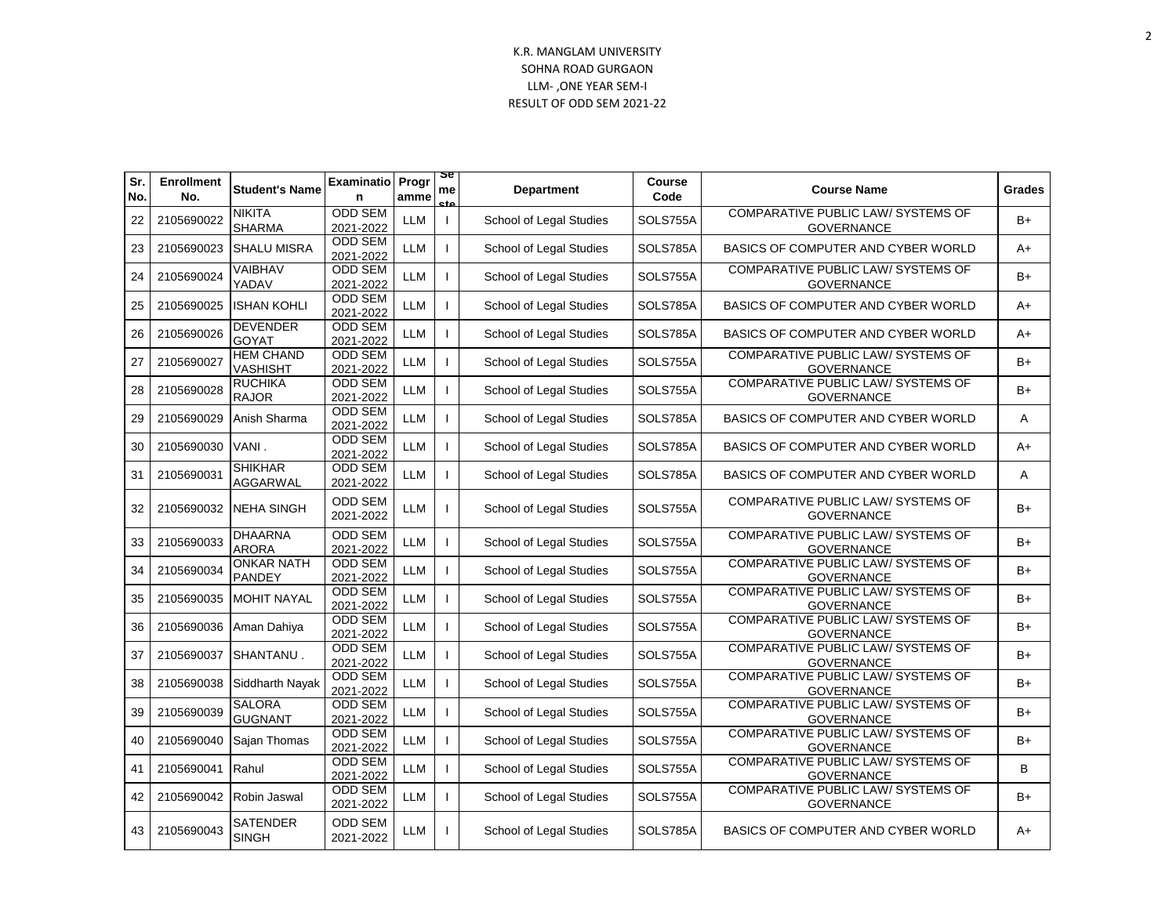| Sr.<br>No. | <b>Enrollment</b><br>No. | <b>Student's Name</b>               | <b>Examinatio</b><br>n      | Progr<br>amme | æ<br>me<br>eta | <b>Department</b>       | Course<br>Code | <b>Course Name</b>                                             | Grades |
|------------|--------------------------|-------------------------------------|-----------------------------|---------------|----------------|-------------------------|----------------|----------------------------------------------------------------|--------|
| 22         | 2105690022               | <b>NIKITA</b><br><b>SHARMA</b>      | <b>ODD SEM</b><br>2021-2022 | <b>LLM</b>    | $\mathbf{L}$   | School of Legal Studies | SOLS755A       | <b>COMPARATIVE PUBLIC LAW/ SYSTEMS OF</b><br><b>GOVERNANCE</b> | $B+$   |
| 23         | 2105690023               | <b>SHALU MISRA</b>                  | <b>ODD SEM</b><br>2021-2022 | <b>LLM</b>    |                | School of Legal Studies | SOLS785A       | BASICS OF COMPUTER AND CYBER WORLD                             | $A+$   |
| 24         | 2105690024               | VAIBHAV<br>YADAV                    | ODD SEM<br>2021-2022        | <b>LLM</b>    |                | School of Legal Studies | SOLS755A       | COMPARATIVE PUBLIC LAW/ SYSTEMS OF<br><b>GOVERNANCE</b>        | $B+$   |
| 25         | 2105690025               | <b>ISHAN KOHLI</b>                  | <b>ODD SEM</b><br>2021-2022 | <b>LLM</b>    |                | School of Legal Studies | SOLS785A       | BASICS OF COMPUTER AND CYBER WORLD                             | A+     |
| 26         | 2105690026               | <b>DEVENDER</b><br><b>GOYAT</b>     | ODD SEM<br>2021-2022        | <b>LLM</b>    |                | School of Legal Studies | SOLS785A       | BASICS OF COMPUTER AND CYBER WORLD                             | A+     |
| 27         | 2105690027               | <b>HEM CHAND</b><br><b>VASHISHT</b> | <b>ODD SEM</b><br>2021-2022 | <b>LLM</b>    |                | School of Legal Studies | SOLS755A       | COMPARATIVE PUBLIC LAW/ SYSTEMS OF<br><b>GOVERNANCE</b>        | $B+$   |
| 28         | 2105690028               | <b>RUCHIKA</b><br><b>RAJOR</b>      | <b>ODD SEM</b><br>2021-2022 | LLM           |                | School of Legal Studies | SOLS755A       | <b>COMPARATIVE PUBLIC LAW/ SYSTEMS OF</b><br><b>GOVERNANCE</b> | B+     |
| 29         | 2105690029               | Anish Sharma                        | <b>ODD SEM</b><br>2021-2022 | <b>LLM</b>    |                | School of Legal Studies | SOLS785A       | BASICS OF COMPUTER AND CYBER WORLD                             | A      |
| 30         | 2105690030               | VANI.                               | <b>ODD SEM</b><br>2021-2022 | <b>LLM</b>    |                | School of Legal Studies | SOLS785A       | BASICS OF COMPUTER AND CYBER WORLD                             | $A+$   |
| 31         | 2105690031               | <b>SHIKHAR</b><br><b>AGGARWAL</b>   | <b>ODD SEM</b><br>2021-2022 | <b>LLM</b>    |                | School of Legal Studies | SOLS785A       | BASICS OF COMPUTER AND CYBER WORLD                             | A      |
| 32         | 2105690032               | <b>NEHA SINGH</b>                   | <b>ODD SEM</b><br>2021-2022 | LLM           | $\mathbf{I}$   | School of Legal Studies | SOLS755A       | COMPARATIVE PUBLIC LAW/ SYSTEMS OF<br><b>GOVERNANCE</b>        | B+     |
| 33         | 2105690033               | <b>DHAARNA</b><br><b>ARORA</b>      | <b>ODD SEM</b><br>2021-2022 | <b>LLM</b>    |                | School of Legal Studies | SOLS755A       | COMPARATIVE PUBLIC LAW/ SYSTEMS OF<br><b>GOVERNANCE</b>        | $B+$   |
| 34         | 2105690034               | <b>ONKAR NATH</b><br><b>PANDEY</b>  | <b>ODD SEM</b><br>2021-2022 | <b>LLM</b>    |                | School of Legal Studies | SOLS755A       | COMPARATIVE PUBLIC LAW/ SYSTEMS OF<br><b>GOVERNANCE</b>        | $B+$   |
| 35         | 2105690035               | <b>MOHIT NAYAL</b>                  | <b>ODD SEM</b><br>2021-2022 | <b>LLM</b>    |                | School of Legal Studies | SOLS755A       | COMPARATIVE PUBLIC LAW/ SYSTEMS OF<br><b>GOVERNANCE</b>        | $B+$   |
| 36         | 2105690036               | Aman Dahiya                         | <b>ODD SEM</b><br>2021-2022 | <b>LLM</b>    |                | School of Legal Studies | SOLS755A       | COMPARATIVE PUBLIC LAW/ SYSTEMS OF<br><b>GOVERNANCE</b>        | $B+$   |
| 37         | 2105690037               | SHANTANU.                           | <b>ODD SEM</b><br>2021-2022 | <b>LLM</b>    |                | School of Legal Studies | SOLS755A       | COMPARATIVE PUBLIC LAW/ SYSTEMS OF<br><b>GOVERNANCE</b>        | B+     |
| 38         | 2105690038               | Siddharth Nayak                     | <b>ODD SEM</b><br>2021-2022 | <b>LLM</b>    |                | School of Legal Studies | SOLS755A       | COMPARATIVE PUBLIC LAW/ SYSTEMS OF<br><b>GOVERNANCE</b>        | $B+$   |
| 39         | 2105690039               | <b>SALORA</b><br><b>GUGNANT</b>     | <b>ODD SEM</b><br>2021-2022 | <b>LLM</b>    |                | School of Legal Studies | SOLS755A       | COMPARATIVE PUBLIC LAW/ SYSTEMS OF<br><b>GOVERNANCE</b>        | $B+$   |
| 40         | 2105690040               | Sajan Thomas                        | <b>ODD SEM</b><br>2021-2022 | <b>LLM</b>    |                | School of Legal Studies | SOLS755A       | COMPARATIVE PUBLIC LAW/ SYSTEMS OF<br><b>GOVERNANCE</b>        | $B+$   |
| 41         | 2105690041               | Rahul                               | ODD SEM<br>2021-2022        | <b>LLM</b>    |                | School of Legal Studies | SOLS755A       | COMPARATIVE PUBLIC LAW/ SYSTEMS OF<br><b>GOVERNANCE</b>        | B      |
| 42         | 2105690042               | Robin Jaswal                        | <b>ODD SEM</b><br>2021-2022 | <b>LLM</b>    |                | School of Legal Studies | SOLS755A       | COMPARATIVE PUBLIC LAW/ SYSTEMS OF<br><b>GOVERNANCE</b>        | $B+$   |
| 43         | 2105690043               | SATENDER<br><b>SINGH</b>            | ODD SEM<br>2021-2022        | LLM           | $\mathbf{I}$   | School of Legal Studies | SOLS785A       | BASICS OF COMPUTER AND CYBER WORLD                             | A+     |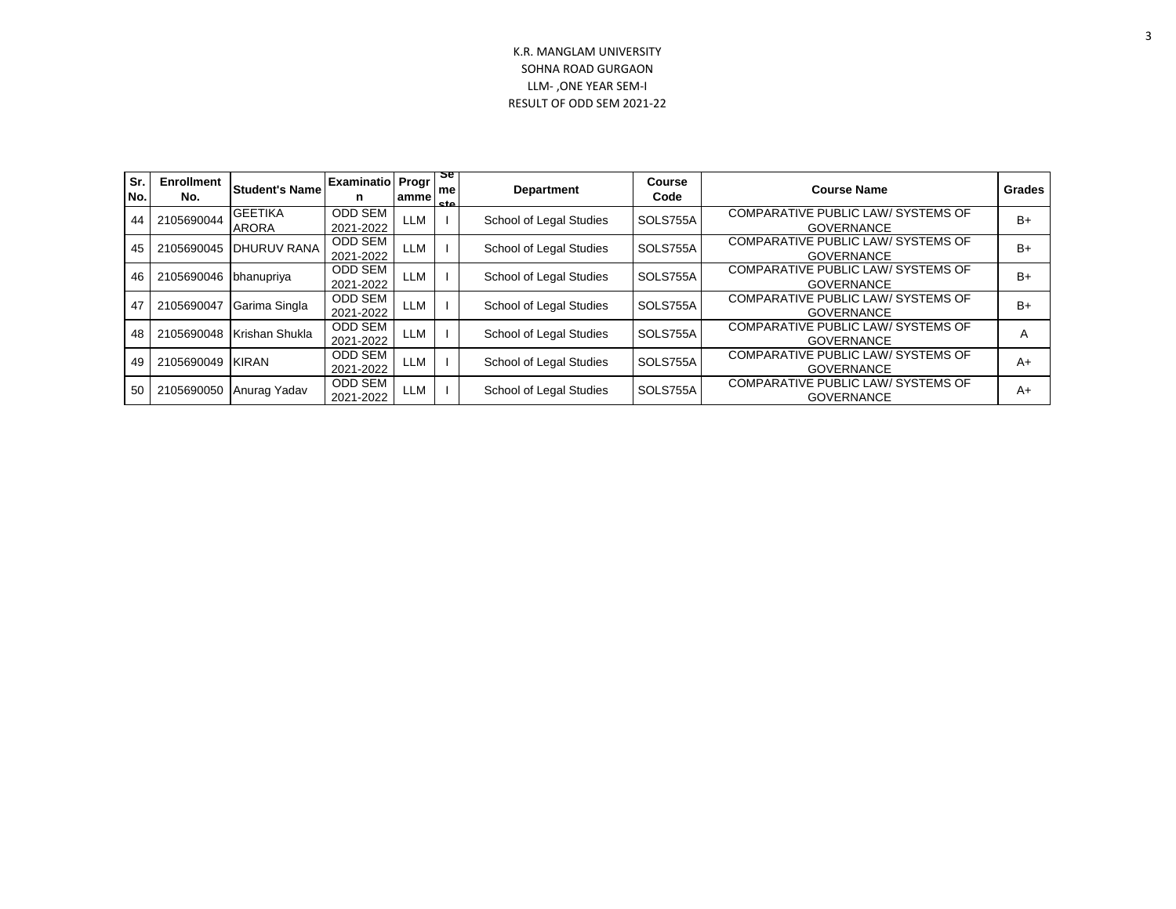| Sr.<br>No. | <b>Enrollment</b><br>No. | <b>Student's Name</b>          | <b>Examinatio Progr</b><br>n | lamme      | కా<br>me<br><b>cta</b> | <b>Department</b>              | <b>Course</b><br>Code | <b>Course Name</b>                                             | Grades |
|------------|--------------------------|--------------------------------|------------------------------|------------|------------------------|--------------------------------|-----------------------|----------------------------------------------------------------|--------|
| 44         | 2105690044               | <b>GEETIKA</b><br><b>ARORA</b> | ODD SEM<br>2021-2022         | LLM        |                        | <b>School of Legal Studies</b> | SOLS755A              | COMPARATIVE PUBLIC LAW/ SYSTEMS OF<br><b>GOVERNANCE</b>        | $B+$   |
| 45         | 2105690045               | IDHURUV RANA                   | <b>ODD SEM</b><br>2021-2022  | LLM        |                        | School of Legal Studies        | SOLS755A              | COMPARATIVE PUBLIC LAW/ SYSTEMS OF<br><b>GOVERNANCE</b>        | $B+$   |
| 46         | 2105690046               | bhanupriya                     | ODD SEM<br>2021-2022         | <b>LLM</b> |                        | School of Legal Studies        | SOLS755A              | <b>COMPARATIVE PUBLIC LAW/ SYSTEMS OF</b><br><b>GOVERNANCE</b> | $B+$   |
| 47         | 2105690047               | Garima Singla                  | <b>ODD SEM</b><br>2021-2022  | LLM        |                        | School of Legal Studies        | SOLS755A              | <b>COMPARATIVE PUBLIC LAW/ SYSTEMS OF</b><br><b>GOVERNANCE</b> | $B+$   |
| 48         | 2105690048               | Krishan Shukla                 | ODD SEM<br>2021-2022         | LLM        |                        | School of Legal Studies        | SOLS755A              | <b>COMPARATIVE PUBLIC LAW/ SYSTEMS OF</b><br><b>GOVERNANCE</b> |        |
| 49         | 2105690049               | <b>KIRAN</b>                   | <b>ODD SEM</b><br>2021-2022  | LLM        |                        | School of Legal Studies        | SOLS755A              | <b>COMPARATIVE PUBLIC LAW/ SYSTEMS OF</b><br><b>GOVERNANCE</b> | $A+$   |
| 50         | 2105690050               | Anurag Yadav                   | <b>ODD SEM</b><br>2021-2022  | LLM        |                        | <b>School of Legal Studies</b> | SOLS755A              | <b>COMPARATIVE PUBLIC LAW/ SYSTEMS OF</b><br><b>GOVERNANCE</b> | $A+$   |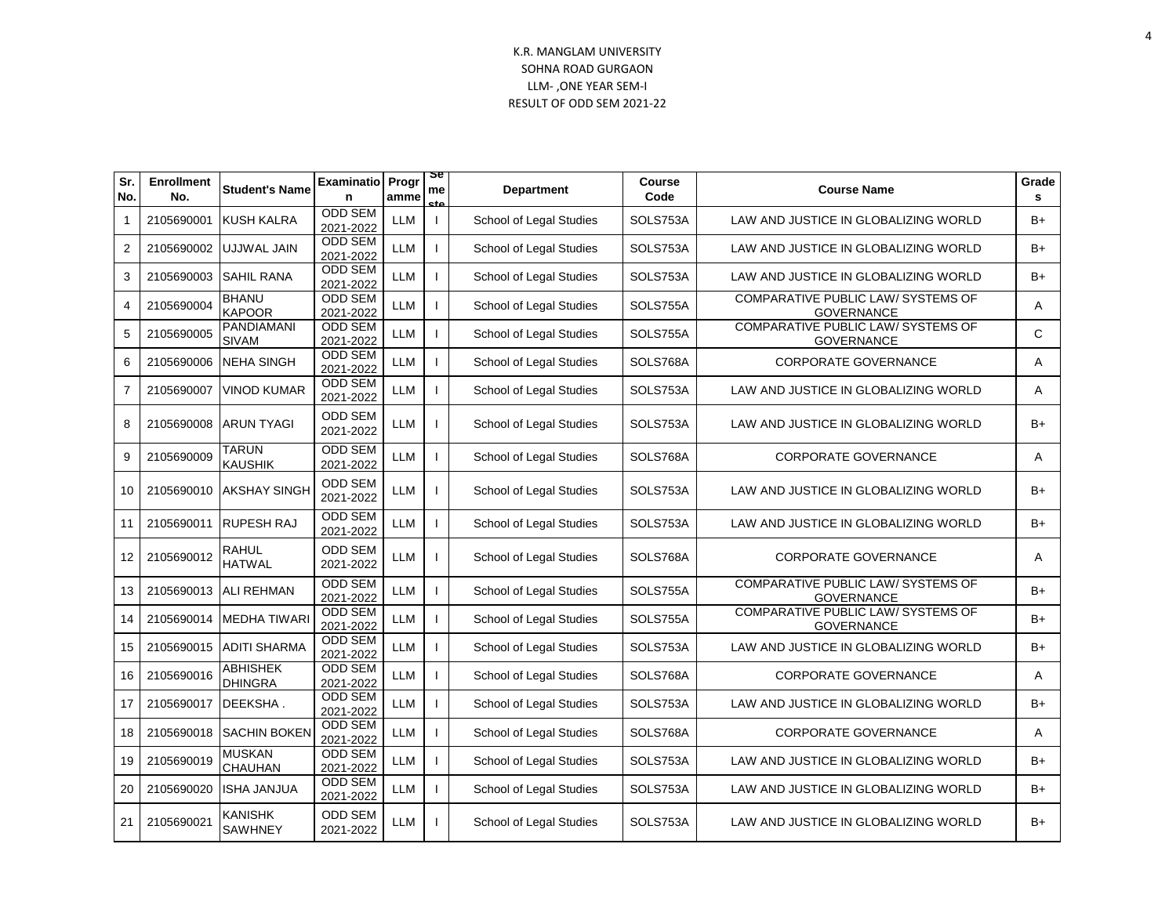| Sr.<br>No.     | <b>Enrollment</b><br>No. | <b>Student's Name</b>             | <b>Examinatio</b><br>n      | Progr<br>amme | sе<br>me     | <b>Department</b>       | Course<br>Code | <b>Course Name</b>                                             | Grade<br>s |
|----------------|--------------------------|-----------------------------------|-----------------------------|---------------|--------------|-------------------------|----------------|----------------------------------------------------------------|------------|
| 1              | 2105690001               | <b>KUSH KALRA</b>                 | <b>ODD SEM</b><br>2021-2022 | <b>LLM</b>    | $\mathbf{I}$ | School of Legal Studies | SOLS753A       | LAW AND JUSTICE IN GLOBALIZING WORLD                           | B+         |
| 2              | 2105690002               | UJJWAL JAIN                       | <b>ODD SEM</b><br>2021-2022 | <b>LLM</b>    |              | School of Legal Studies | SOLS753A       | LAW AND JUSTICE IN GLOBALIZING WORLD                           | $B+$       |
| 3              |                          | 2105690003 SAHIL RANA             | <b>ODD SEM</b><br>2021-2022 | <b>LLM</b>    |              | School of Legal Studies | SOLS753A       | LAW AND JUSTICE IN GLOBALIZING WORLD                           | $B+$       |
| 4              | 2105690004               | BHANU<br><b>KAPOOR</b>            | <b>ODD SEM</b><br>2021-2022 | <b>LLM</b>    |              | School of Legal Studies | SOLS755A       | COMPARATIVE PUBLIC LAW/ SYSTEMS OF<br><b>GOVERNANCE</b>        | A          |
| 5              | 2105690005               | PANDIAMANI<br><b>SIVAM</b>        | <b>ODD SEM</b><br>2021-2022 | <b>LLM</b>    |              | School of Legal Studies | SOLS755A       | COMPARATIVE PUBLIC LAW/ SYSTEMS OF<br><b>GOVERNANCE</b>        | C          |
| 6              | 2105690006               | <b>NEHA SINGH</b>                 | <b>ODD SEM</b><br>2021-2022 | <b>LLM</b>    |              | School of Legal Studies | SOLS768A       | <b>CORPORATE GOVERNANCE</b>                                    | A          |
| $\overline{7}$ | 2105690007               | <b>VINOD KUMAR</b>                | <b>ODD SEM</b><br>2021-2022 | <b>LLM</b>    |              | School of Legal Studies | SOLS753A       | LAW AND JUSTICE IN GLOBALIZING WORLD                           | Α          |
| 8              | 2105690008               | <b>ARUN TYAGI</b>                 | <b>ODD SEM</b><br>2021-2022 | <b>LLM</b>    | J.           | School of Legal Studies | SOLS753A       | LAW AND JUSTICE IN GLOBALIZING WORLD                           | $B+$       |
| 9              | 2105690009               | <b>TARUN</b><br><b>KAUSHIK</b>    | <b>ODD SEM</b><br>2021-2022 | <b>LLM</b>    |              | School of Legal Studies | SOLS768A       | <b>CORPORATE GOVERNANCE</b>                                    | A          |
| 10             |                          | 2105690010 AKSHAY SINGH           | <b>ODD SEM</b><br>2021-2022 | LLM           | $\mathbf{I}$ | School of Legal Studies | SOLS753A       | LAW AND JUSTICE IN GLOBALIZING WORLD                           | $B+$       |
| 11             | 2105690011               | <b>RUPESH RAJ</b>                 | <b>ODD SEM</b><br>2021-2022 | <b>LLM</b>    |              | School of Legal Studies | SOLS753A       | LAW AND JUSTICE IN GLOBALIZING WORLD                           | B+         |
| 12             | 2105690012               | RAHUL<br><b>HATWAL</b>            | <b>ODD SEM</b><br>2021-2022 | <b>LLM</b>    |              | School of Legal Studies | SOLS768A       | <b>CORPORATE GOVERNANCE</b>                                    | A          |
| 13             |                          | 2105690013   ALI REHMAN           | <b>ODD SEM</b><br>2021-2022 | <b>LLM</b>    |              | School of Legal Studies | SOLS755A       | COMPARATIVE PUBLIC LAW/ SYSTEMS OF<br><b>GOVERNANCE</b>        | $B+$       |
| 14             | 2105690014               | <b>MEDHA TIWAR</b>                | <b>ODD SEM</b><br>2021-2022 | <b>LLM</b>    |              | School of Legal Studies | SOLS755A       | <b>COMPARATIVE PUBLIC LAW/ SYSTEMS OF</b><br><b>GOVERNANCE</b> | B+         |
| 15             | 2105690015               | <b>ADITI SHARMA</b>               | <b>ODD SEM</b><br>2021-2022 | LLM           |              | School of Legal Studies | SOLS753A       | LAW AND JUSTICE IN GLOBALIZING WORLD                           | B+         |
| 16             | 2105690016               | <b>ABHISHEK</b><br><b>DHINGRA</b> | <b>ODD SEM</b><br>2021-2022 | <b>LLM</b>    |              | School of Legal Studies | SOLS768A       | <b>CORPORATE GOVERNANCE</b>                                    | A          |
| 17             | 2105690017               | DEEKSHA.                          | <b>ODD SEM</b><br>2021-2022 | <b>LLM</b>    |              | School of Legal Studies | SOLS753A       | LAW AND JUSTICE IN GLOBALIZING WORLD                           | B+         |
| 18             |                          | 2105690018 SACHIN BOKEN           | <b>ODD SEM</b><br>2021-2022 | <b>LLM</b>    |              | School of Legal Studies | SOLS768A       | <b>CORPORATE GOVERNANCE</b>                                    | A          |
| 19             | 2105690019               | <b>MUSKAN</b><br>CHAUHAN          | <b>ODD SEM</b><br>2021-2022 | LLM           |              | School of Legal Studies | SOLS753A       | LAW AND JUSTICE IN GLOBALIZING WORLD                           | B+         |
| 20             | 2105690020               | <b>ISHA JANJUA</b>                | <b>ODD SEM</b><br>2021-2022 | LLM           |              | School of Legal Studies | SOLS753A       | LAW AND JUSTICE IN GLOBALIZING WORLD                           | $B+$       |
| 21             | 2105690021               | KANISHK<br><b>SAWHNEY</b>         | <b>ODD SEM</b><br>2021-2022 | LLM           |              | School of Legal Studies | SOLS753A       | LAW AND JUSTICE IN GLOBALIZING WORLD                           | $B+$       |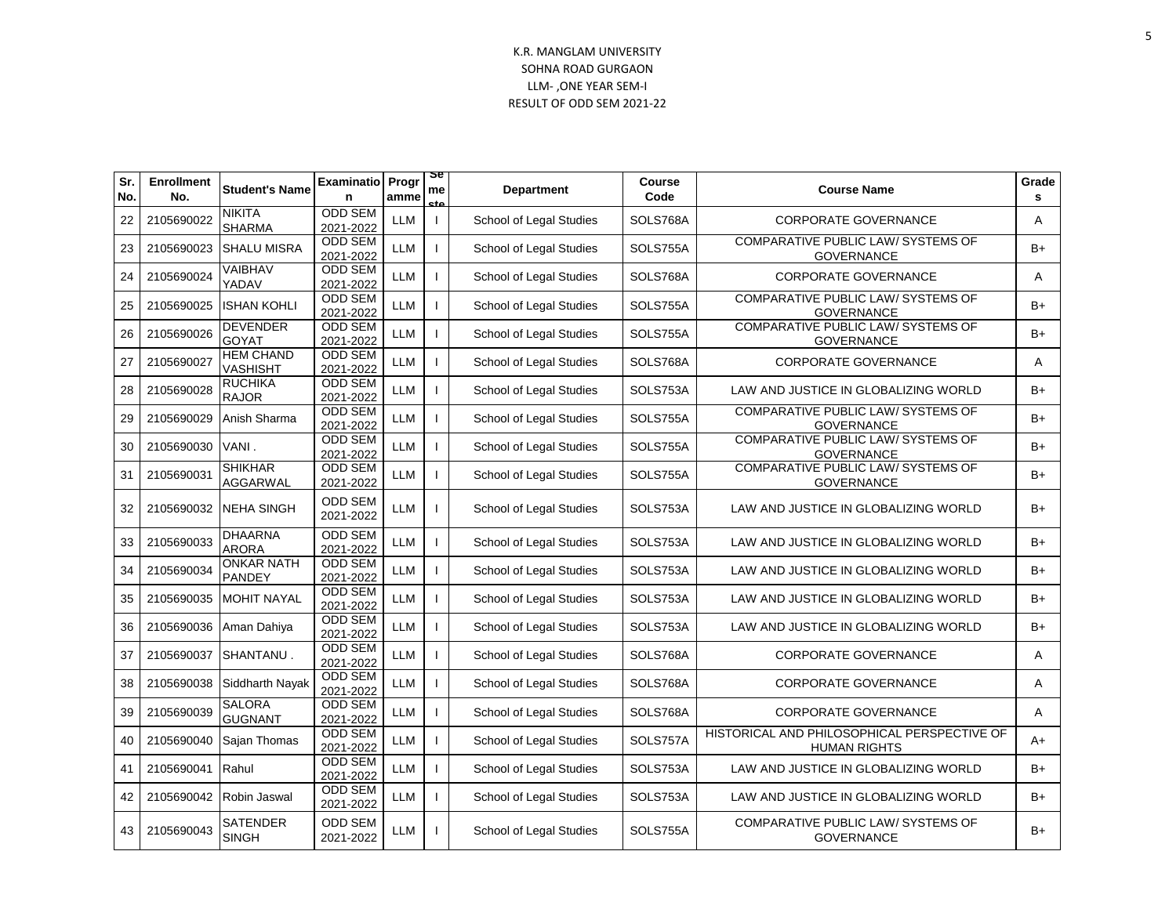| Sr.<br>No. | <b>Enrollment</b><br>No. | <b>Student's Name</b>              | <b>Examinatio</b><br>n      | Progr<br>amme | æ<br>me<br>eta | <b>Department</b>       | <b>Course</b><br>Code | <b>Course Name</b>                                                 | Grade<br>s |
|------------|--------------------------|------------------------------------|-----------------------------|---------------|----------------|-------------------------|-----------------------|--------------------------------------------------------------------|------------|
| 22         | 2105690022               | <b>NIKITA</b><br><b>SHARMA</b>     | <b>ODD SEM</b><br>2021-2022 | <b>LLM</b>    |                | School of Legal Studies | SOLS768A              | <b>CORPORATE GOVERNANCE</b>                                        | A          |
| 23         | 2105690023               | <b>SHALU MISRA</b>                 | <b>ODD SEM</b><br>2021-2022 | <b>LLM</b>    |                | School of Legal Studies | SOLS755A              | <b>COMPARATIVE PUBLIC LAW/ SYSTEMS OF</b><br><b>GOVERNANCE</b>     | $B+$       |
| 24         | 2105690024               | VAIBHAV<br>YADAV                   | ODD SEM<br>2021-2022        | <b>LLM</b>    |                | School of Legal Studies | SOLS768A              | <b>CORPORATE GOVERNANCE</b>                                        | A          |
| 25         | 2105690025               | <b>ISHAN KOHLI</b>                 | <b>ODD SEM</b><br>2021-2022 | <b>LLM</b>    |                | School of Legal Studies | SOLS755A              | COMPARATIVE PUBLIC LAW/ SYSTEMS OF<br><b>GOVERNANCE</b>            | $B+$       |
| 26         | 2105690026               | <b>DEVENDER</b><br>GOYAT           | ODD SEM<br>2021-2022        | <b>LLM</b>    |                | School of Legal Studies | SOLS755A              | COMPARATIVE PUBLIC LAW/ SYSTEMS OF<br><b>GOVERNANCE</b>            | $B+$       |
| 27         | 2105690027               | HEM CHAND<br><b>VASHISHT</b>       | <b>ODD SEM</b><br>2021-2022 | <b>LLM</b>    |                | School of Legal Studies | SOLS768A              | <b>CORPORATE GOVERNANCE</b>                                        | A          |
| 28         | 2105690028               | <b>RUCHIKA</b><br><b>RAJOR</b>     | <b>ODD SEM</b><br>2021-2022 | <b>LLM</b>    |                | School of Legal Studies | SOLS753A              | LAW AND JUSTICE IN GLOBALIZING WORLD                               | B+         |
| 29         | 2105690029               | Anish Sharma                       | <b>ODD SEM</b><br>2021-2022 | <b>LLM</b>    |                | School of Legal Studies | SOLS755A              | COMPARATIVE PUBLIC LAW/ SYSTEMS OF<br><b>GOVERNANCE</b>            | $B+$       |
| 30         | 2105690030               | VANI.                              | <b>ODD SEM</b><br>2021-2022 | <b>LLM</b>    |                | School of Legal Studies | SOLS755A              | <b>COMPARATIVE PUBLIC LAW/ SYSTEMS OF</b><br><b>GOVERNANCE</b>     | B+         |
| 31         | 2105690031               | <b>SHIKHAR</b><br><b>AGGARWAL</b>  | <b>ODD SEM</b><br>2021-2022 | <b>LLM</b>    |                | School of Legal Studies | SOLS755A              | <b>COMPARATIVE PUBLIC LAW/ SYSTEMS OF</b><br><b>GOVERNANCE</b>     | B+         |
| 32         | 2105690032               | <b>NEHA SINGH</b>                  | <b>ODD SEM</b><br>2021-2022 | <b>LLM</b>    |                | School of Legal Studies | SOLS753A              | LAW AND JUSTICE IN GLOBALIZING WORLD                               | B+         |
| 33         | 2105690033               | <b>DHAARNA</b><br><b>ARORA</b>     | <b>ODD SEM</b><br>2021-2022 | <b>LLM</b>    |                | School of Legal Studies | SOLS753A              | LAW AND JUSTICE IN GLOBALIZING WORLD                               | B+         |
| 34         | 2105690034               | <b>ONKAR NATH</b><br><b>PANDEY</b> | <b>ODD SEM</b><br>2021-2022 | <b>LLM</b>    |                | School of Legal Studies | SOLS753A              | LAW AND JUSTICE IN GLOBALIZING WORLD                               | $B+$       |
| 35         | 2105690035               | <b>MOHIT NAYAL</b>                 | <b>ODD SEM</b><br>2021-2022 | <b>LLM</b>    |                | School of Legal Studies | SOLS753A              | LAW AND JUSTICE IN GLOBALIZING WORLD                               | $B+$       |
| 36         | 2105690036               | Aman Dahiya                        | <b>ODD SEM</b><br>2021-2022 | <b>LLM</b>    |                | School of Legal Studies | SOLS753A              | LAW AND JUSTICE IN GLOBALIZING WORLD                               | B+         |
| 37         | 2105690037               | SHANTANU.                          | <b>ODD SEM</b><br>2021-2022 | <b>LLM</b>    |                | School of Legal Studies | SOLS768A              | <b>CORPORATE GOVERNANCE</b>                                        | A          |
| 38         | 2105690038               | Siddharth Nayak                    | <b>ODD SEM</b><br>2021-2022 | <b>LLM</b>    |                | School of Legal Studies | SOLS768A              | <b>CORPORATE GOVERNANCE</b>                                        | A          |
| 39         | 2105690039               | <b>SALORA</b><br><b>GUGNANT</b>    | <b>ODD SEM</b><br>2021-2022 | <b>LLM</b>    |                | School of Legal Studies | SOLS768A              | <b>CORPORATE GOVERNANCE</b>                                        | A          |
| 40         | 2105690040               | Sajan Thomas                       | <b>ODD SEM</b><br>2021-2022 | <b>LLM</b>    |                | School of Legal Studies | SOLS757A              | HISTORICAL AND PHILOSOPHICAL PERSPECTIVE OF<br><b>HUMAN RIGHTS</b> | A+         |
| 41         | 2105690041               | Rahul                              | <b>ODD SEM</b><br>2021-2022 | <b>LLM</b>    |                | School of Legal Studies | SOLS753A              | LAW AND JUSTICE IN GLOBALIZING WORLD                               | B+         |
| 42         | 2105690042               | Robin Jaswal                       | <b>ODD SEM</b><br>2021-2022 | <b>LLM</b>    |                | School of Legal Studies | SOLS753A              | LAW AND JUSTICE IN GLOBALIZING WORLD                               | B+         |
| 43         | 2105690043               | SATENDER<br><b>SINGH</b>           | <b>ODD SEM</b><br>2021-2022 | LLM           |                | School of Legal Studies | SOLS755A              | COMPARATIVE PUBLIC LAW/ SYSTEMS OF<br><b>GOVERNANCE</b>            | B+         |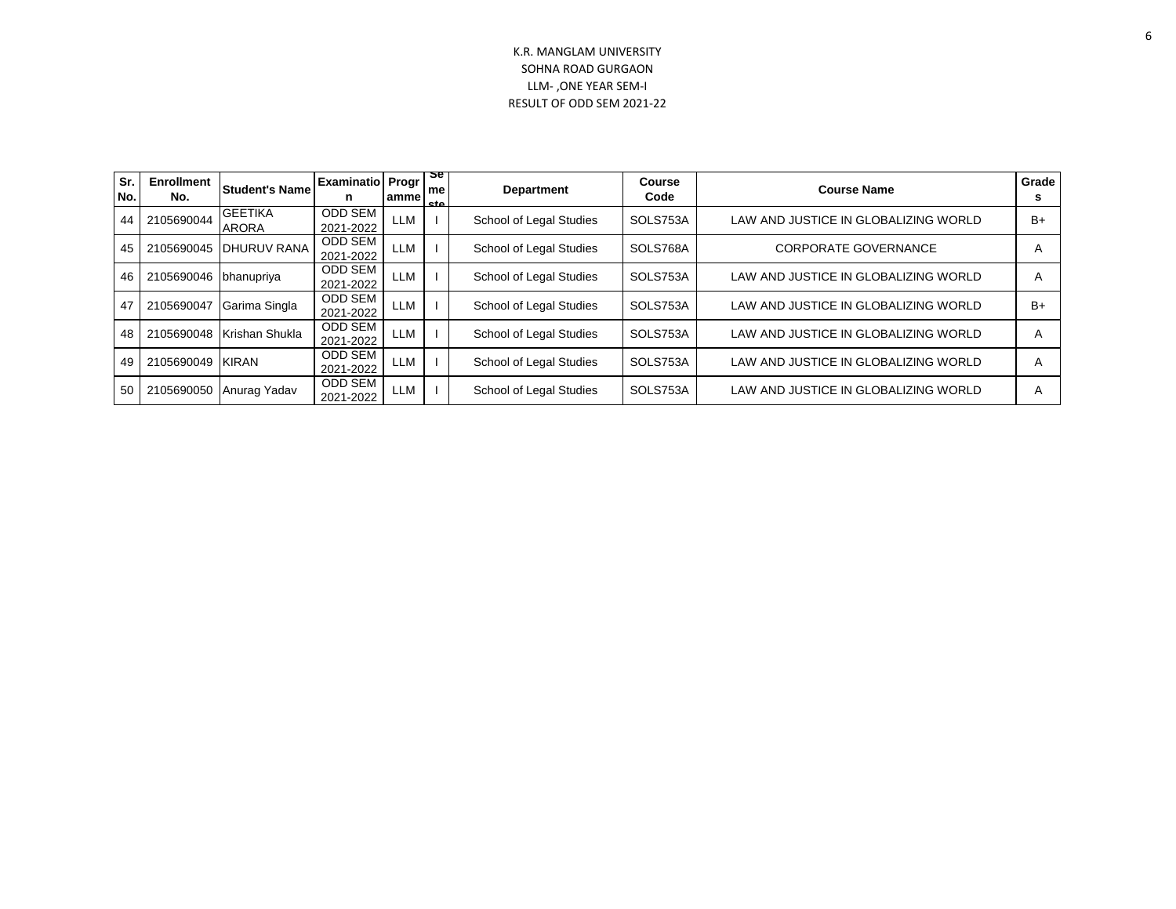| Sr.<br>No. | <b>Enrollment</b><br>No. | Student's Name                 | <b>Examinatio Progr  </b><br>n | amme       | 2e<br>me<br>cto. | <b>Department</b>       | <b>Course</b><br>Code | <b>Course Name</b>                   | Grade<br>s |
|------------|--------------------------|--------------------------------|--------------------------------|------------|------------------|-------------------------|-----------------------|--------------------------------------|------------|
| 44         | 2105690044               | <b>GEETIKA</b><br><b>ARORA</b> | <b>ODD SEM</b><br>2021-2022    | LLM        |                  | School of Legal Studies | SOLS753A              | LAW AND JUSTICE IN GLOBALIZING WORLD | $B+$       |
| 45         | 2105690045               | DHURUV RANA                    | <b>ODD SEM</b><br>2021-2022    | LLM        |                  | School of Legal Studies | SOLS768A              | <b>CORPORATE GOVERNANCE</b>          |            |
| 46         | 2105690046               | bhanupriya                     | <b>ODD SEM</b><br>2021-2022    | <b>LLM</b> |                  | School of Legal Studies | SOLS753A              | LAW AND JUSTICE IN GLOBALIZING WORLD |            |
| 47         | 2105690047               | Garima Singla                  | <b>ODD SEM</b><br>2021-2022    | LLM        |                  | School of Legal Studies | SOLS753A              | LAW AND JUSTICE IN GLOBALIZING WORLD | $B+$       |
| 48         | 2105690048               | Krishan Shukla                 | <b>ODD SEM</b><br>2021-2022    | <b>LLM</b> |                  | School of Legal Studies | SOLS753A              | LAW AND JUSTICE IN GLOBALIZING WORLD |            |
| 49         | 2105690049               | <b>KIRAN</b>                   | <b>ODD SEM</b><br>2021-2022    | LLM        |                  | School of Legal Studies | SOLS753A              | LAW AND JUSTICE IN GLOBALIZING WORLD |            |
| 50         | 2105690050               | Anurag Yadav                   | <b>ODD SEM</b><br>2021-2022    | LLM        |                  | School of Legal Studies | SOLS753A              | LAW AND JUSTICE IN GLOBALIZING WORLD |            |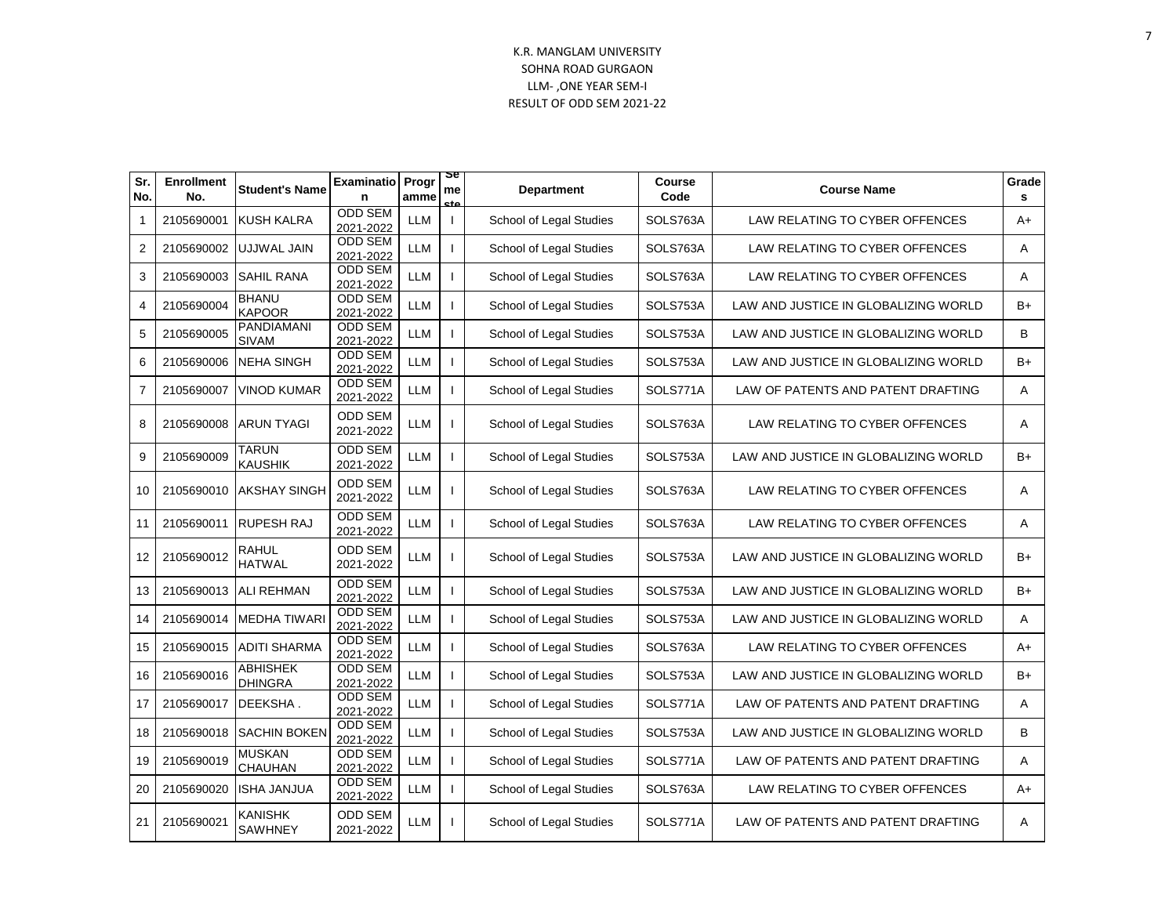| Sr.<br>No.      | <b>Enrollment</b><br>No. | <b>Student's Name</b>             | <b>Examinatio</b><br>n      | Progr<br>amme         | œ<br>me<br>c+c           | <b>Department</b>       | <b>Course</b><br>Code | <b>Course Name</b>                   | Grade<br>s |
|-----------------|--------------------------|-----------------------------------|-----------------------------|-----------------------|--------------------------|-------------------------|-----------------------|--------------------------------------|------------|
| $\mathbf 1$     | 2105690001               | <b>KUSH KALRA</b>                 | <b>ODD SEM</b><br>2021-2022 | <b>LLM</b>            | $\mathbf{I}$             | School of Legal Studies | SOLS763A              | LAW RELATING TO CYBER OFFENCES       | A+         |
| 2               | 2105690002               | UJJWAL JAIN                       | <b>ODD SEM</b><br>2021-2022 | LLM                   |                          | School of Legal Studies | SOLS763A              | LAW RELATING TO CYBER OFFENCES       | A          |
| 3               | 2105690003               | <b>SAHIL RANA</b>                 | <b>ODD SEM</b><br>2021-2022 | <b>LLM</b>            |                          | School of Legal Studies | SOLS763A              | LAW RELATING TO CYBER OFFENCES       | Α          |
| 4               | 2105690004               | <b>BHANU</b><br><b>KAPOOR</b>     | <b>ODD SEM</b><br>2021-2022 | <b>LLM</b>            | $\overline{\phantom{a}}$ | School of Legal Studies | SOLS753A              | LAW AND JUSTICE IN GLOBALIZING WORLD | $B+$       |
| 5               | 2105690005               | PANDIAMANI<br><b>SIVAM</b>        | <b>ODD SEM</b><br>2021-2022 | <b>LLM</b>            | $\mathbf{I}$             | School of Legal Studies | SOLS753A              | LAW AND JUSTICE IN GLOBALIZING WORLD | B          |
| 6               | 2105690006               | <b>NEHA SINGH</b>                 | <b>ODD SEM</b><br>2021-2022 | <b>LLM</b>            |                          | School of Legal Studies | SOLS753A              | LAW AND JUSTICE IN GLOBALIZING WORLD | $B+$       |
| $\overline{7}$  | 2105690007               | <b>VINOD KUMAR</b>                | <b>ODD SEM</b><br>2021-2022 | <b>LLM</b>            | $\overline{\phantom{a}}$ | School of Legal Studies | SOLS771A              | LAW OF PATENTS AND PATENT DRAFTING   | Α          |
| 8               | 2105690008               | <b>ARUN TYAGI</b>                 | <b>ODD SEM</b><br>2021-2022 | <b>LLM</b>            |                          | School of Legal Studies | SOLS763A              | LAW RELATING TO CYBER OFFENCES       | Α          |
| 9               | 2105690009               | <b>TARUN</b><br><b>KAUSHIK</b>    | <b>ODD SEM</b><br>2021-2022 | <b>LLM</b>            | $\mathbf{I}$             | School of Legal Studies | SOLS753A              | LAW AND JUSTICE IN GLOBALIZING WORLD | $B+$       |
| 10 <sup>1</sup> | 2105690010               | <b>AKSHAY SINGH</b>               | <b>ODD SEM</b><br>2021-2022 | LLM                   | $\mathbf{I}$             | School of Legal Studies | SOLS763A              | LAW RELATING TO CYBER OFFENCES       | A          |
| 11              | 2105690011               | <b>RUPESH RAJ</b>                 | <b>ODD SEM</b><br>2021-2022 | <b>LLM</b>            |                          | School of Legal Studies | SOLS763A              | LAW RELATING TO CYBER OFFENCES       | Α          |
| 12 <sup>°</sup> | 2105690012               | RAHUL<br><b>HATWAL</b>            | <b>ODD SEM</b><br>2021-2022 | <b>LLM</b>            | $\mathbf{I}$             | School of Legal Studies | SOLS753A              | LAW AND JUSTICE IN GLOBALIZING WORLD | $B+$       |
| 13              | 2105690013               | <b>ALI REHMAN</b>                 | <b>ODD SEM</b><br>2021-2022 | $\mathsf{LLM}\xspace$ |                          | School of Legal Studies | SOLS753A              | LAW AND JUSTICE IN GLOBALIZING WORLD | $B+$       |
| 14              | 2105690014               | <b>MEDHA TIWARI</b>               | <b>ODD SEM</b><br>2021-2022 | LLM                   |                          | School of Legal Studies | SOLS753A              | LAW AND JUSTICE IN GLOBALIZING WORLD | Α          |
| 15              | 2105690015               | <b>ADITI SHARMA</b>               | <b>ODD SEM</b><br>2021-2022 | <b>LLM</b>            | $\mathbf{I}$             | School of Legal Studies | SOLS763A              | LAW RELATING TO CYBER OFFENCES       | $A+$       |
| 16              | 2105690016               | <b>ABHISHEK</b><br><b>DHINGRA</b> | <b>ODD SEM</b><br>2021-2022 | <b>LLM</b>            |                          | School of Legal Studies | SOLS753A              | LAW AND JUSTICE IN GLOBALIZING WORLD | $B+$       |
| 17              | 2105690017               | DEEKSHA.                          | <b>ODD SEM</b><br>2021-2022 | <b>LLM</b>            |                          | School of Legal Studies | SOLS771A              | LAW OF PATENTS AND PATENT DRAFTING   | A          |
| 18              | 2105690018               | <b>SACHIN BOKEN</b>               | <b>ODD SEM</b><br>2021-2022 | <b>LLM</b>            |                          | School of Legal Studies | SOLS753A              | LAW AND JUSTICE IN GLOBALIZING WORLD | B          |
| 19              | 2105690019               | <b>MUSKAN</b><br>CHAUHAN          | ODD SEM<br>2021-2022        | <b>LLM</b>            |                          | School of Legal Studies | SOLS771A              | LAW OF PATENTS AND PATENT DRAFTING   | Α          |
| 20              | 2105690020               | <b>ISHA JANJUA</b>                | <b>ODD SEM</b><br>2021-2022 | <b>LLM</b>            | $\mathbf{I}$             | School of Legal Studies | SOLS763A              | LAW RELATING TO CYBER OFFENCES       | $A+$       |
| 21              | 2105690021               | <b>KANISHK</b><br><b>SAWHNEY</b>  | <b>ODD SEM</b><br>2021-2022 | LLM                   | $\mathbf{I}$             | School of Legal Studies | SOLS771A              | LAW OF PATENTS AND PATENT DRAFTING   | A          |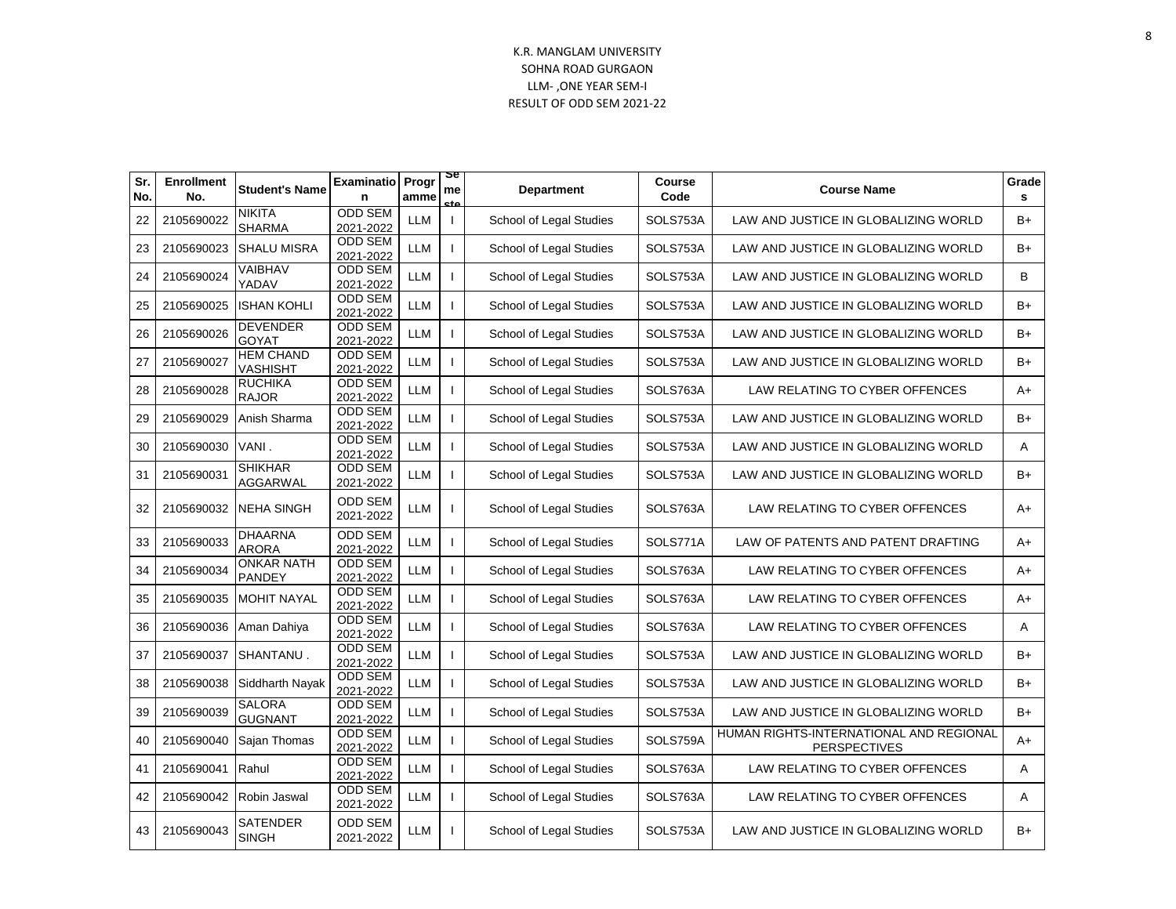| Sr.<br>No. | <b>Enrollment</b><br>No. | <b>Student's Name</b>               | <b>Examinatio</b><br>n      | Progr<br>amme | æ<br>me<br>- + | <b>Department</b>       | <b>Course</b><br>Code | <b>Course Name</b>                                             | Grade<br>s |
|------------|--------------------------|-------------------------------------|-----------------------------|---------------|----------------|-------------------------|-----------------------|----------------------------------------------------------------|------------|
| 22         | 2105690022               | <b>NIKITA</b><br><b>SHARMA</b>      | <b>ODD SEM</b><br>2021-2022 | <b>LLM</b>    | $\mathbf{I}$   | School of Legal Studies | SOLS753A              | LAW AND JUSTICE IN GLOBALIZING WORLD                           | $B+$       |
| 23         | 2105690023               | <b>SHALU MISRA</b>                  | <b>ODD SEM</b><br>2021-2022 | LLM           |                | School of Legal Studies | SOLS753A              | LAW AND JUSTICE IN GLOBALIZING WORLD                           | $B+$       |
| 24         | 2105690024               | VAIBHAV<br>YADAV                    | <b>ODD SEM</b><br>2021-2022 | <b>LLM</b>    |                | School of Legal Studies | SOLS753A              | LAW AND JUSTICE IN GLOBALIZING WORLD                           | B          |
| 25         | 2105690025               | <b>ISHAN KOHLI</b>                  | <b>ODD SEM</b><br>2021-2022 | LLM           |                | School of Legal Studies | SOLS753A              | LAW AND JUSTICE IN GLOBALIZING WORLD                           | $B+$       |
| 26         | 2105690026               | <b>DEVENDER</b><br><b>GOYAT</b>     | <b>ODD SEM</b><br>2021-2022 | <b>LLM</b>    |                | School of Legal Studies | SOLS753A              | LAW AND JUSTICE IN GLOBALIZING WORLD                           | $B+$       |
| 27         | 2105690027               | <b>HEM CHAND</b><br><b>VASHISHT</b> | <b>ODD SEM</b><br>2021-2022 | <b>LLM</b>    |                | School of Legal Studies | SOLS753A              | LAW AND JUSTICE IN GLOBALIZING WORLD                           | $B+$       |
| 28         | 2105690028               | <b>RUCHIKA</b><br><b>RAJOR</b>      | <b>ODD SEM</b><br>2021-2022 | <b>LLM</b>    |                | School of Legal Studies | SOLS763A              | LAW RELATING TO CYBER OFFENCES                                 | $A+$       |
| 29         | 2105690029               | Anish Sharma                        | <b>ODD SEM</b><br>2021-2022 | <b>LLM</b>    |                | School of Legal Studies | SOLS753A              | LAW AND JUSTICE IN GLOBALIZING WORLD                           | $B+$       |
| 30         | 2105690030               | VANI.                               | <b>ODD SEM</b><br>2021-2022 | <b>LLM</b>    |                | School of Legal Studies | SOLS753A              | LAW AND JUSTICE IN GLOBALIZING WORLD                           | Α          |
| 31         | 2105690031               | <b>SHIKHAR</b><br><b>AGGARWAL</b>   | <b>ODD SEM</b><br>2021-2022 | <b>LLM</b>    |                | School of Legal Studies | SOLS753A              | LAW AND JUSTICE IN GLOBALIZING WORLD                           | $B+$       |
| 32         | 2105690032               | NEHA SINGH                          | <b>ODD SEM</b><br>2021-2022 | <b>LLM</b>    |                | School of Legal Studies | SOLS763A              | LAW RELATING TO CYBER OFFENCES                                 | A+         |
| 33         | 2105690033               | <b>DHAARNA</b><br><b>ARORA</b>      | <b>ODD SEM</b><br>2021-2022 | <b>LLM</b>    |                | School of Legal Studies | SOLS771A              | LAW OF PATENTS AND PATENT DRAFTING                             | $A+$       |
| 34         | 2105690034               | <b>ONKAR NATH</b><br>PANDEY         | <b>ODD SEM</b><br>2021-2022 | <b>LLM</b>    |                | School of Legal Studies | SOLS763A              | LAW RELATING TO CYBER OFFENCES                                 | $A+$       |
| 35         | 2105690035               | <b>MOHIT NAYAL</b>                  | <b>ODD SEM</b><br>2021-2022 | <b>LLM</b>    |                | School of Legal Studies | SOLS763A              | LAW RELATING TO CYBER OFFENCES                                 | A+         |
| 36         | 2105690036               | Aman Dahiya                         | <b>ODD SEM</b><br>2021-2022 | <b>LLM</b>    |                | School of Legal Studies | SOLS763A              | LAW RELATING TO CYBER OFFENCES                                 | A          |
| 37         | 2105690037               | SHANTANU.                           | ODD SEM<br>2021-2022        | <b>LLM</b>    |                | School of Legal Studies | SOLS753A              | LAW AND JUSTICE IN GLOBALIZING WORLD                           | $B+$       |
| 38         | 2105690038               | Siddharth Nayak                     | ODD SEM<br>2021-2022        | LLM           |                | School of Legal Studies | SOLS753A              | LAW AND JUSTICE IN GLOBALIZING WORLD                           | $B+$       |
| 39         | 2105690039               | <b>SALORA</b><br><b>GUGNANT</b>     | ODD SEM<br>2021-2022        | <b>LLM</b>    |                | School of Legal Studies | SOLS753A              | LAW AND JUSTICE IN GLOBALIZING WORLD                           | $B+$       |
| 40         | 2105690040               | Sajan Thomas                        | <b>ODD SEM</b><br>2021-2022 | LLM           |                | School of Legal Studies | SOLS759A              | HUMAN RIGHTS-INTERNATIONAL AND REGIONAL<br><b>PERSPECTIVES</b> | $A+$       |
| 41         | 2105690041               | Rahul                               | <b>ODD SEM</b><br>2021-2022 | LLM           |                | School of Legal Studies | SOLS763A              | LAW RELATING TO CYBER OFFENCES                                 | Α          |
| 42         | 2105690042               | Robin Jaswal                        | <b>ODD SEM</b><br>2021-2022 | LLM           | $\mathbf{I}$   | School of Legal Studies | SOLS763A              | LAW RELATING TO CYBER OFFENCES                                 | Α          |
| 43         | 2105690043               | SATENDER<br>SINGH                   | <b>ODD SEM</b><br>2021-2022 | LLM           |                | School of Legal Studies | SOLS753A              | LAW AND JUSTICE IN GLOBALIZING WORLD                           | $B+$       |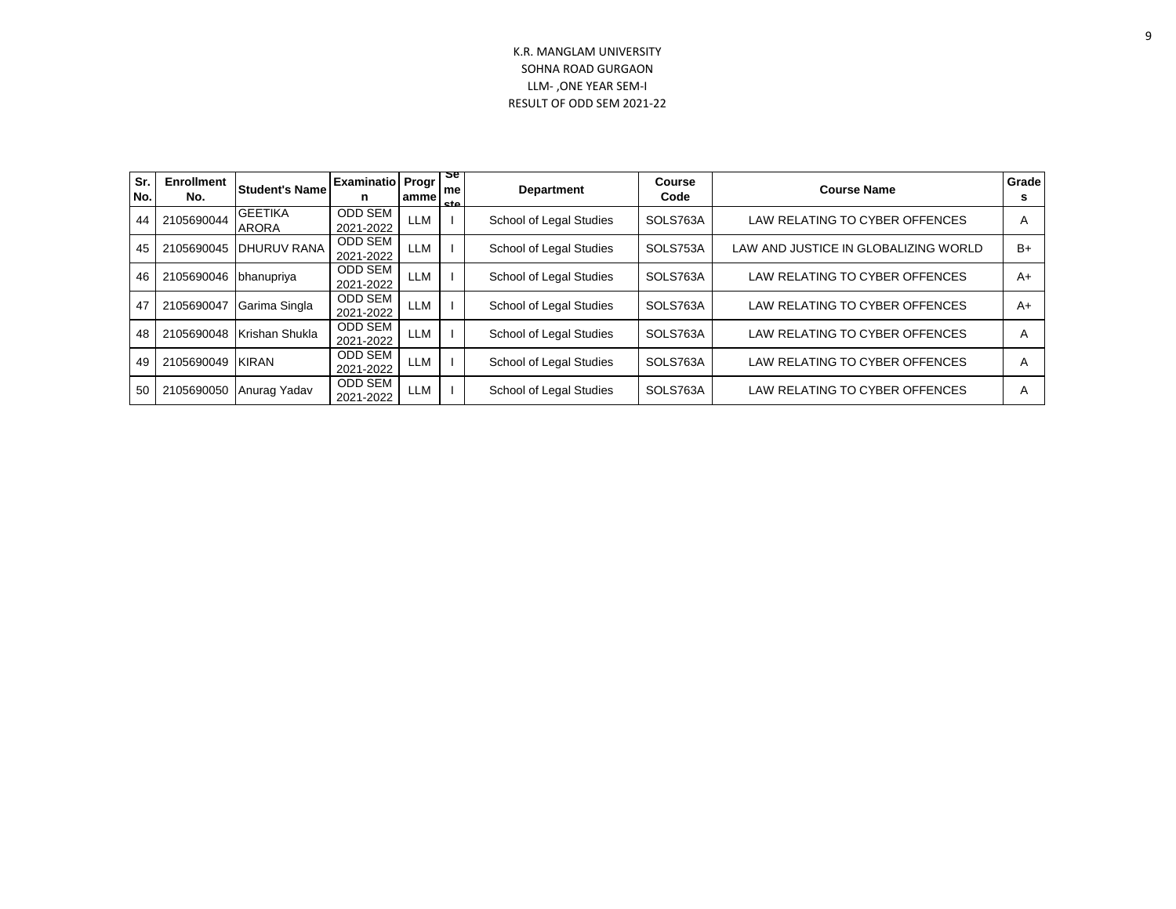| Sr.<br>No. | <b>Enrollment</b><br>No. | <b>Student's Name</b>          | <b>Examinatio Progr</b><br>n | amme | <u>se</u><br>me<br>eta | <b>Department</b>       | <b>Course</b><br>Code | <b>Course Name</b>                   | Grade<br>s |
|------------|--------------------------|--------------------------------|------------------------------|------|------------------------|-------------------------|-----------------------|--------------------------------------|------------|
| 44         | 2105690044               | <b>GEETIKA</b><br><b>ARORA</b> | <b>ODD SEM</b><br>2021-2022  | LLM  |                        | School of Legal Studies | SOLS763A              | LAW RELATING TO CYBER OFFENCES       | A          |
| 45         | 2105690045               | IDHURUV RANA                   | <b>ODD SEM</b><br>2021-2022  | LLM  |                        | School of Legal Studies | SOLS753A              | LAW AND JUSTICE IN GLOBALIZING WORLD | B+         |
| 46         | 2105690046               | bhanupriya                     | <b>ODD SEM</b><br>2021-2022  | LLM  |                        | School of Legal Studies | SOLS763A              | LAW RELATING TO CYBER OFFENCES       | $A+$       |
| 47         | 2105690047               | Garima Singla                  | <b>ODD SEM</b><br>2021-2022  | LLM  |                        | School of Legal Studies | SOLS763A              | LAW RELATING TO CYBER OFFENCES       | $A+$       |
| 48         |                          | 2105690048   Krishan Shukla    | <b>ODD SEM</b><br>2021-2022  | LLM  |                        | School of Legal Studies | SOLS763A              | LAW RELATING TO CYBER OFFENCES       | A          |
| 49         | 2105690049               | KIRAN                          | <b>ODD SEM</b><br>2021-2022  | LLM  |                        | School of Legal Studies | SOLS763A              | LAW RELATING TO CYBER OFFENCES       | A          |
| 50         | 2105690050               | Anurag Yadav                   | <b>ODD SEM</b><br>2021-2022  | LLM  |                        | School of Legal Studies | SOLS763A              | LAW RELATING TO CYBER OFFENCES       | A          |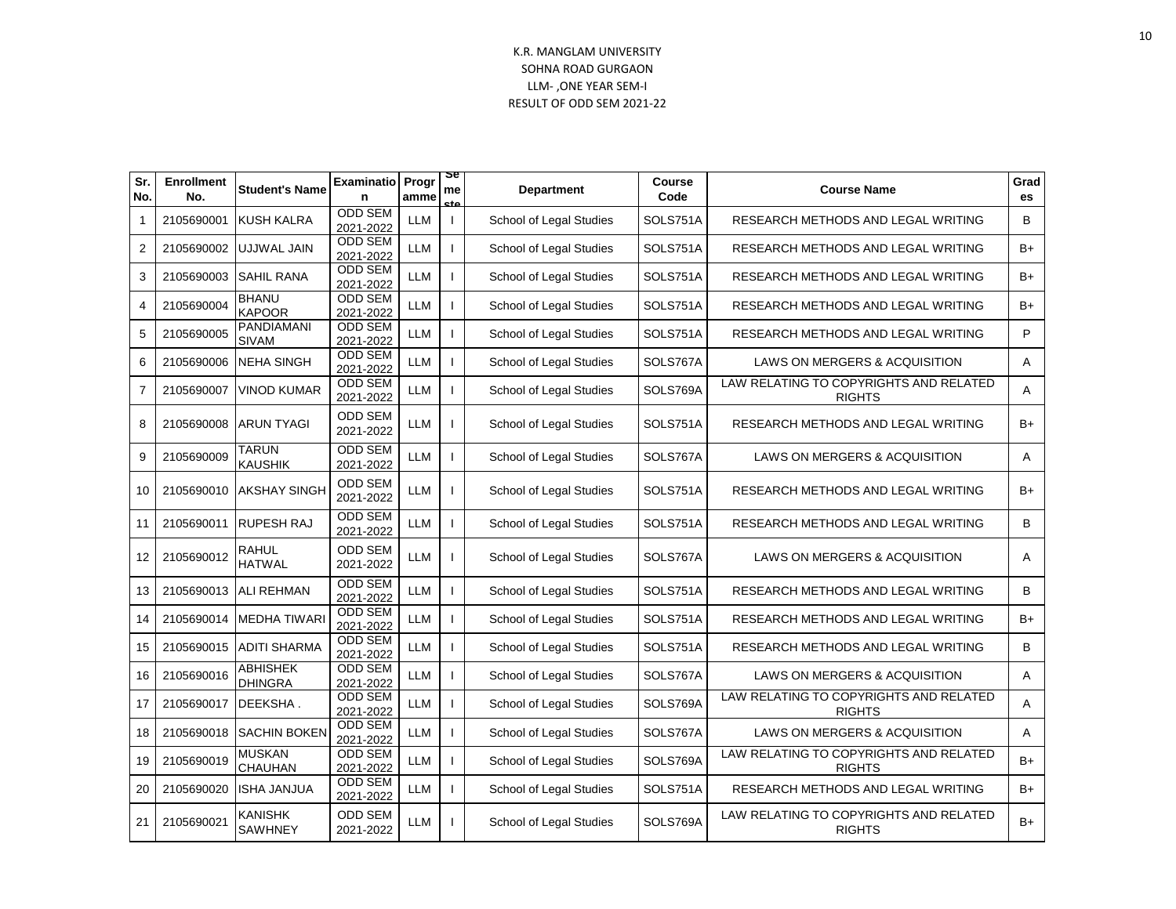| Sr.<br>No.      | <b>Enrollment</b><br>No. | <b>Student's Name</b>             | <b>Examinatio</b><br>n      | Progr<br>amme | æ<br>me<br>-+0 | <b>Department</b>       | Course<br>Code | <b>Course Name</b>                                      | Grad<br><b>es</b> |
|-----------------|--------------------------|-----------------------------------|-----------------------------|---------------|----------------|-------------------------|----------------|---------------------------------------------------------|-------------------|
| $\mathbf 1$     | 2105690001               | <b>KUSH KALRA</b>                 | <b>ODD SEM</b><br>2021-2022 | <b>LLM</b>    | $\mathbf{I}$   | School of Legal Studies | SOLS751A       | RESEARCH METHODS AND LEGAL WRITING                      | B                 |
| 2               | 2105690002               | UJJWAL JAIN                       | <b>ODD SEM</b><br>2021-2022 | LLM           |                | School of Legal Studies | SOLS751A       | RESEARCH METHODS AND LEGAL WRITING                      | $B+$              |
| 3               | 2105690003               | <b>SAHIL RANA</b>                 | <b>ODD SEM</b><br>2021-2022 | <b>LLM</b>    |                | School of Legal Studies | SOLS751A       | RESEARCH METHODS AND LEGAL WRITING                      | B+                |
| 4               | 2105690004               | <b>BHANU</b><br><b>KAPOOR</b>     | <b>ODD SEM</b><br>2021-2022 | LLM           |                | School of Legal Studies | SOLS751A       | RESEARCH METHODS AND LEGAL WRITING                      | $B+$              |
| 5               | 2105690005               | <b>PANDIAMANI</b><br><b>SIVAM</b> | <b>ODD SEM</b><br>2021-2022 | <b>LLM</b>    |                | School of Legal Studies | SOLS751A       | RESEARCH METHODS AND LEGAL WRITING                      | P                 |
| 6               | 2105690006               | <b>NEHA SINGH</b>                 | <b>ODD SEM</b><br>2021-2022 | <b>LLM</b>    |                | School of Legal Studies | SOLS767A       | LAWS ON MERGERS & ACQUISITION                           | Α                 |
| $\overline{7}$  | 2105690007               | <b>VINOD KUMAR</b>                | <b>ODD SEM</b><br>2021-2022 | <b>LLM</b>    |                | School of Legal Studies | SOLS769A       | LAW RELATING TO COPYRIGHTS AND RELATED<br><b>RIGHTS</b> | A                 |
| 8               | 2105690008               | <b>ARUN TYAGI</b>                 | ODD SEM<br>2021-2022        | <b>LLM</b>    |                | School of Legal Studies | SOLS751A       | RESEARCH METHODS AND LEGAL WRITING                      | $B+$              |
| 9               | 2105690009               | <b>TARUN</b><br><b>KAUSHIK</b>    | <b>ODD SEM</b><br>2021-2022 | LLM           |                | School of Legal Studies | SOLS767A       | LAWS ON MERGERS & ACQUISITION                           | A                 |
| 10 <sup>1</sup> | 2105690010               | <b>AKSHAY SINGH</b>               | <b>ODD SEM</b><br>2021-2022 | LLM           |                | School of Legal Studies | SOLS751A       | RESEARCH METHODS AND LEGAL WRITING                      | $B+$              |
| 11              | 2105690011               | <b>RUPESH RAJ</b>                 | <b>ODD SEM</b><br>2021-2022 | <b>LLM</b>    |                | School of Legal Studies | SOLS751A       | RESEARCH METHODS AND LEGAL WRITING                      | B                 |
| 12 <sup>°</sup> | 2105690012               | <b>RAHUL</b><br><b>HATWAL</b>     | <b>ODD SEM</b><br>2021-2022 | <b>LLM</b>    |                | School of Legal Studies | SOLS767A       | LAWS ON MERGERS & ACQUISITION                           | A                 |
| 13              | 2105690013               | <b>ALI REHMAN</b>                 | <b>ODD SEM</b><br>2021-2022 | LLM           |                | School of Legal Studies | SOLS751A       | RESEARCH METHODS AND LEGAL WRITING                      | B                 |
| 14              | 2105690014               | <b>MEDHA TIWARI</b>               | <b>ODD SEM</b><br>2021-2022 | <b>LLM</b>    |                | School of Legal Studies | SOLS751A       | RESEARCH METHODS AND LEGAL WRITING                      | B+                |
| 15              | 2105690015               | <b>ADITI SHARMA</b>               | <b>ODD SEM</b><br>2021-2022 | <b>LLM</b>    |                | School of Legal Studies | SOLS751A       | RESEARCH METHODS AND LEGAL WRITING                      | B                 |
| 16              | 2105690016               | <b>ABHISHEK</b><br><b>DHINGRA</b> | <b>ODD SEM</b><br>2021-2022 | LLM           |                | School of Legal Studies | SOLS767A       | LAWS ON MERGERS & ACQUISITION                           | Α                 |
| 17              | 2105690017               | DEEKSHA.                          | ODD SEM<br>2021-2022        | LLM           |                | School of Legal Studies | SOLS769A       | LAW RELATING TO COPYRIGHTS AND RELATED<br><b>RIGHTS</b> | Α                 |
| 18              | 2105690018               | <b>SACHIN BOKEN</b>               | <b>ODD SEM</b><br>2021-2022 | LLM           |                | School of Legal Studies | SOLS767A       | LAWS ON MERGERS & ACQUISITION                           | A                 |
| 19              | 2105690019               | <b>MUSKAN</b><br><b>CHAUHAN</b>   | ODD SEM<br>2021-2022        | <b>LLM</b>    |                | School of Legal Studies | SOLS769A       | LAW RELATING TO COPYRIGHTS AND RELATED<br><b>RIGHTS</b> | $B+$              |
| 20              | 2105690020               | <b>ISHA JANJUA</b>                | <b>ODD SEM</b><br>2021-2022 | <b>LLM</b>    |                | School of Legal Studies | SOLS751A       | RESEARCH METHODS AND LEGAL WRITING                      | $B+$              |
| 21              | 2105690021               | <b>KANISHK</b><br><b>SAWHNEY</b>  | <b>ODD SEM</b><br>2021-2022 | <b>LLM</b>    |                | School of Legal Studies | SOLS769A       | LAW RELATING TO COPYRIGHTS AND RELATED<br><b>RIGHTS</b> | B+                |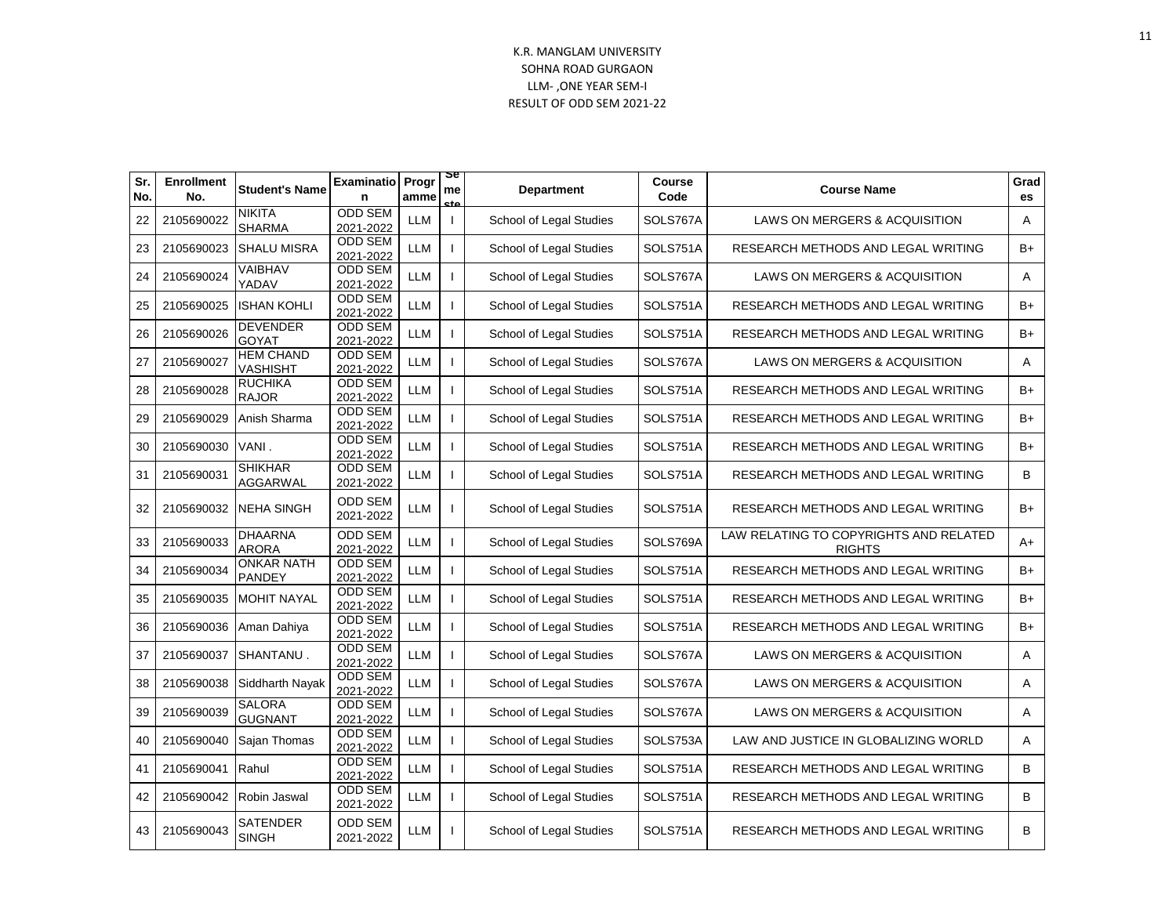| Sr.<br>No. | <b>Enrollment</b><br>No. | <b>Student's Name</b>              | <b>Examinatio</b> Progr<br>n | amme                  | 2e<br>me<br>et a | <b>Department</b>       | Course<br>Code | <b>Course Name</b>                                      | Grad<br>es |
|------------|--------------------------|------------------------------------|------------------------------|-----------------------|------------------|-------------------------|----------------|---------------------------------------------------------|------------|
| 22         | 2105690022               | <b>NIKITA</b><br><b>SHARMA</b>     | <b>ODD SEM</b><br>2021-2022  | <b>LLM</b>            | $\mathbf{I}$     | School of Legal Studies | SOLS767A       | LAWS ON MERGERS & ACQUISITION                           | A          |
| 23         | 2105690023               | <b>SHALU MISRA</b>                 | <b>ODD SEM</b><br>2021-2022  | <b>LLM</b>            |                  | School of Legal Studies | SOLS751A       | RESEARCH METHODS AND LEGAL WRITING                      | B+         |
| 24         | 2105690024               | VAIBHAV<br>YADAV                   | ODD SEM<br>2021-2022         | <b>LLM</b>            |                  | School of Legal Studies | SOLS767A       | LAWS ON MERGERS & ACQUISITION                           | A          |
| 25         | 2105690025               | <b>ISHAN KOHLI</b>                 | <b>ODD SEM</b><br>2021-2022  | LLM                   |                  | School of Legal Studies | SOLS751A       | RESEARCH METHODS AND LEGAL WRITING                      | B+         |
| 26         | 2105690026               | <b>DEVENDER</b><br><b>GOYAT</b>    | <b>ODD SEM</b><br>2021-2022  | LLM                   |                  | School of Legal Studies | SOLS751A       | RESEARCH METHODS AND LEGAL WRITING                      | $B+$       |
| 27         | 2105690027               | <b>HEM CHAND</b><br>VASHISHT       | <b>ODD SEM</b><br>2021-2022  | LLM                   |                  | School of Legal Studies | SOLS767A       | LAWS ON MERGERS & ACQUISITION                           | Α          |
| 28         | 2105690028               | <b>RUCHIKA</b><br><b>RAJOR</b>     | <b>ODD SEM</b><br>2021-2022  | $\mathsf{LLM}\xspace$ |                  | School of Legal Studies | SOLS751A       | RESEARCH METHODS AND LEGAL WRITING                      | B+         |
| 29         | 2105690029               | Anish Sharma                       | <b>ODD SEM</b><br>2021-2022  | $\mathsf{LLM}\xspace$ |                  | School of Legal Studies | SOLS751A       | RESEARCH METHODS AND LEGAL WRITING                      | B+         |
| 30         | 2105690030               | VANI.                              | <b>ODD SEM</b><br>2021-2022  | <b>LLM</b>            | $\mathbf{I}$     | School of Legal Studies | SOLS751A       | RESEARCH METHODS AND LEGAL WRITING                      | $B+$       |
| 31         | 2105690031               | <b>SHIKHAR</b><br><b>AGGARWAL</b>  | <b>ODD SEM</b><br>2021-2022  | <b>LLM</b>            |                  | School of Legal Studies | SOLS751A       | RESEARCH METHODS AND LEGAL WRITING                      | B          |
| 32         | 2105690032               | <b>NEHA SINGH</b>                  | <b>ODD SEM</b><br>2021-2022  | <b>LLM</b>            |                  | School of Legal Studies | SOLS751A       | RESEARCH METHODS AND LEGAL WRITING                      | B+         |
| 33         | 2105690033               | <b>DHAARNA</b><br><b>ARORA</b>     | <b>ODD SEM</b><br>2021-2022  | <b>LLM</b>            |                  | School of Legal Studies | SOLS769A       | LAW RELATING TO COPYRIGHTS AND RELATED<br><b>RIGHTS</b> | $A+$       |
| 34         | 2105690034               | <b>ONKAR NATH</b><br><b>PANDEY</b> | <b>ODD SEM</b><br>2021-2022  | <b>LLM</b>            |                  | School of Legal Studies | SOLS751A       | RESEARCH METHODS AND LEGAL WRITING                      | B+         |
| 35         | 2105690035               | <b>MOHIT NAYAL</b>                 | <b>ODD SEM</b><br>2021-2022  | <b>LLM</b>            |                  | School of Legal Studies | SOLS751A       | RESEARCH METHODS AND LEGAL WRITING                      | B+         |
| 36         | 2105690036               | Aman Dahiya                        | ODD SEM<br>2021-2022         | LLM                   |                  | School of Legal Studies | SOLS751A       | RESEARCH METHODS AND LEGAL WRITING                      | B+         |
| 37         | 2105690037               | <b>SHANTANU.</b>                   | <b>ODD SEM</b><br>2021-2022  | <b>LLM</b>            |                  | School of Legal Studies | SOLS767A       | LAWS ON MERGERS & ACQUISITION                           | Α          |
| 38         | 2105690038               | Siddharth Nayak                    | <b>ODD SEM</b><br>2021-2022  | <b>LLM</b>            |                  | School of Legal Studies | SOLS767A       | LAWS ON MERGERS & ACQUISITION                           | Α          |
| 39         | 2105690039               | <b>SALORA</b><br><b>GUGNANT</b>    | <b>ODD SEM</b><br>2021-2022  | <b>LLM</b>            |                  | School of Legal Studies | SOLS767A       | LAWS ON MERGERS & ACQUISITION                           | A          |
| 40         | 2105690040               | Sajan Thomas                       | <b>ODD SEM</b><br>2021-2022  | LLM                   |                  | School of Legal Studies | SOLS753A       | LAW AND JUSTICE IN GLOBALIZING WORLD                    | A          |
| 41         | 2105690041               | Rahul                              | <b>ODD SEM</b><br>2021-2022  | <b>LLM</b>            |                  | School of Legal Studies | SOLS751A       | RESEARCH METHODS AND LEGAL WRITING                      | B          |
| 42         | 2105690042               | Robin Jaswal                       | <b>ODD SEM</b><br>2021-2022  | <b>LLM</b>            | $\mathbf{I}$     | School of Legal Studies | SOLS751A       | RESEARCH METHODS AND LEGAL WRITING                      | B          |
| 43         | 2105690043               | SATENDER<br><b>SINGH</b>           | <b>ODD SEM</b><br>2021-2022  | LLM                   |                  | School of Legal Studies | SOLS751A       | RESEARCH METHODS AND LEGAL WRITING                      | B          |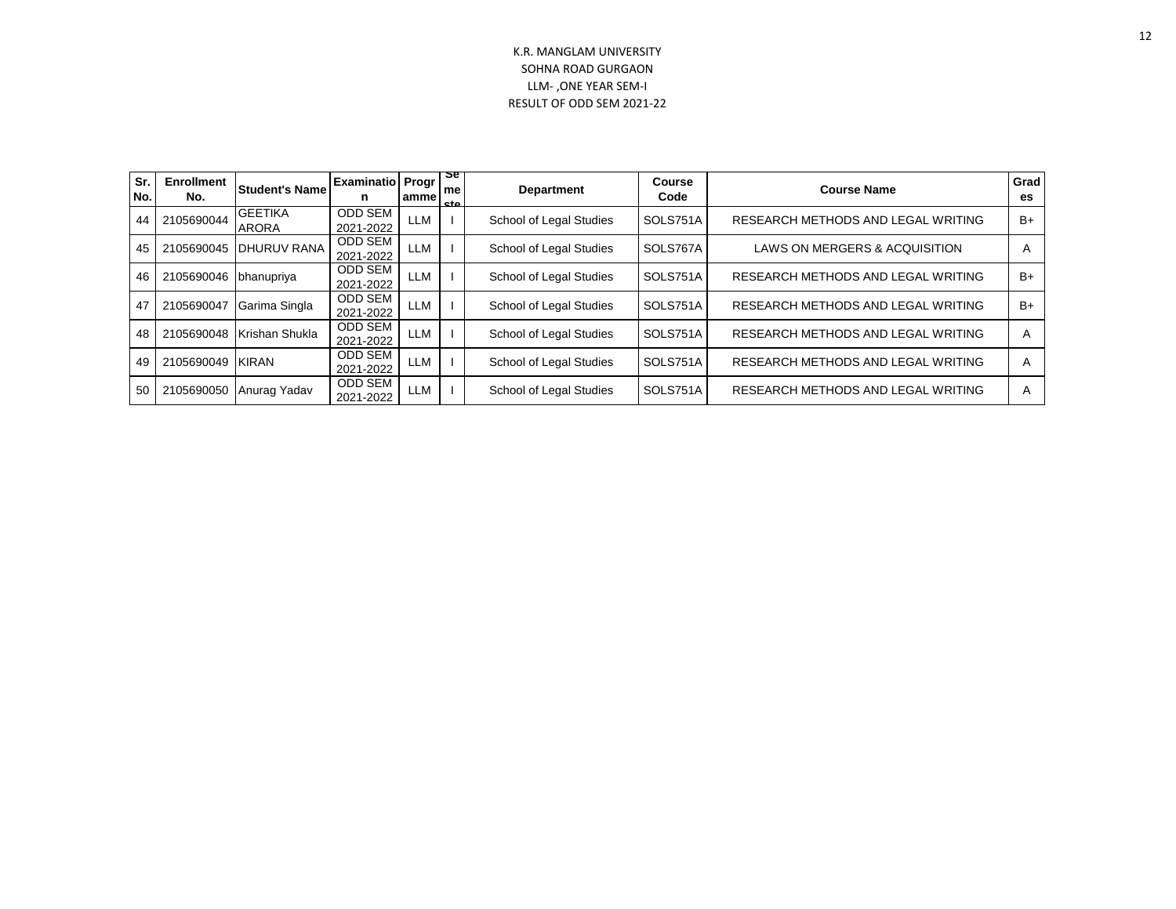| Sr.<br>No. | <b>Enrollment</b><br>No. | <b>Student's Name</b>          | <b>Examinatio Progr</b><br>n | ammel      | 2e<br>me<br>eta | <b>Department</b>       | <b>Course</b><br>Code | <b>Course Name</b>                 | Grad<br>es |
|------------|--------------------------|--------------------------------|------------------------------|------------|-----------------|-------------------------|-----------------------|------------------------------------|------------|
| 44         | 2105690044               | <b>GEETIKA</b><br><b>ARORA</b> | <b>ODD SEM</b><br>2021-2022  | <b>LLM</b> |                 | School of Legal Studies | SOLS751A              | RESEARCH METHODS AND LEGAL WRITING | $B+$       |
| 45         | 2105690045               | <b>DHURUV RANA</b>             | <b>ODD SEM</b><br>2021-2022  | <b>LLM</b> |                 | School of Legal Studies | SOLS767A              | LAWS ON MERGERS & ACQUISITION      | A          |
| 46         | 2105690046 bhanupriya    |                                | <b>ODD SEM</b><br>2021-2022  | <b>LLM</b> |                 | School of Legal Studies | SOLS751A              | RESEARCH METHODS AND LEGAL WRITING | $B+$       |
| 47         | 2105690047               | Garima Singla                  | <b>ODD SEM</b><br>2021-2022  | <b>LLM</b> |                 | School of Legal Studies | SOLS751A              | RESEARCH METHODS AND LEGAL WRITING | $B+$       |
| 48         | 2105690048               | Krishan Shukla                 | <b>ODD SEM</b><br>2021-2022  | <b>LLM</b> |                 | School of Legal Studies | SOLS751A              | RESEARCH METHODS AND LEGAL WRITING | A          |
| 49         | 2105690049               | <b>KIRAN</b>                   | <b>ODD SEM</b><br>2021-2022  | <b>LLM</b> |                 | School of Legal Studies | SOLS751A              | RESEARCH METHODS AND LEGAL WRITING | A          |
| 50         | 2105690050               | Anurag Yadav                   | <b>ODD SEM</b><br>2021-2022  | <b>LLM</b> |                 | School of Legal Studies | SOLS751A              | RESEARCH METHODS AND LEGAL WRITING | A          |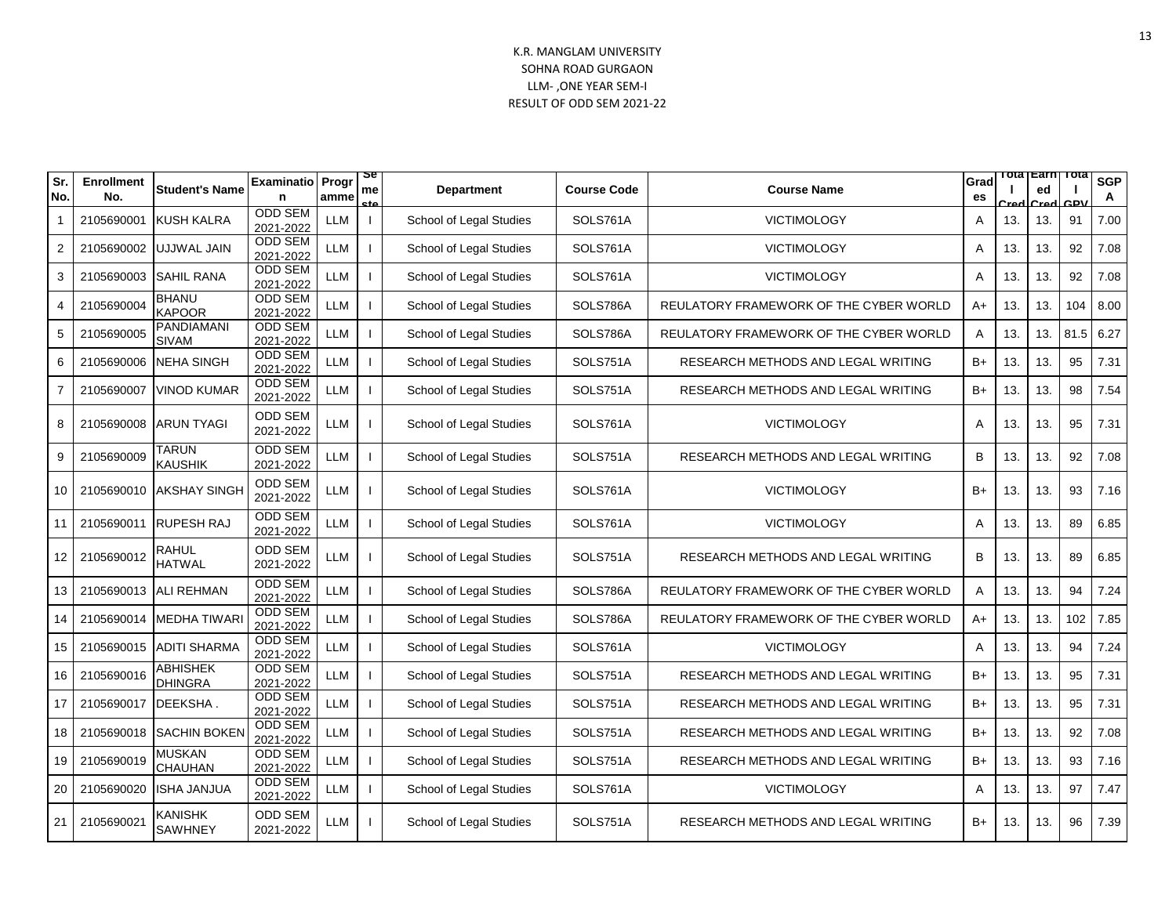| Sr.<br>No.      | <b>Enrollment</b><br>No. | <b>Student's Name</b>           | Examinatio Progr<br>n       | amme       | œ<br>me<br>cto           | <b>Department</b>       | <b>Course Code</b> | <b>Course Name</b>                     | Grad<br>es |     | <u>iota Earn</u><br>ed | тота<br>CDV | <b>SGP</b><br>A |
|-----------------|--------------------------|---------------------------------|-----------------------------|------------|--------------------------|-------------------------|--------------------|----------------------------------------|------------|-----|------------------------|-------------|-----------------|
|                 | 2105690001               | <b>KUSH KALRA</b>               | ODD SEM<br>2021-2022        | LLM        | $\overline{\phantom{a}}$ | School of Legal Studies | SOLS761A           | <b>VICTIMOLOGY</b>                     | A          | 13. | 13.                    | 91          | 7.00            |
| 2               | 2105690002               | UJJWAL JAIN                     | <b>ODD SEM</b><br>2021-2022 | LLM        |                          | School of Legal Studies | SOLS761A           | <b>VICTIMOLOGY</b>                     | Α          | 13. | 13.                    | 92          | 7.08            |
| 3               | 2105690003               | <b>SAHIL RANA</b>               | <b>ODD SEM</b><br>2021-2022 | <b>LLM</b> |                          | School of Legal Studies | SOLS761A           | <b>VICTIMOLOGY</b>                     | A          | 13. | 13.                    | 92          | 7.08            |
| 4               | 2105690004               | <b>BHANU</b><br><b>KAPOOR</b>   | <b>ODD SEM</b><br>2021-2022 | LLM        |                          | School of Legal Studies | SOLS786A           | REULATORY FRAMEWORK OF THE CYBER WORLD | A+         | 13. | 13.                    | 104         | 8.00            |
| 5               | 2105690005               | PANDIAMANI<br><b>SIVAM</b>      | <b>ODD SEM</b><br>2021-2022 | <b>LLM</b> |                          | School of Legal Studies | SOLS786A           | REULATORY FRAMEWORK OF THE CYBER WORLD | Α          | 13. | 13.                    | 81.5        | 6.27            |
| 6               | 2105690006               | <b>NEHA SINGH</b>               | <b>ODD SEM</b><br>2021-2022 | <b>LLM</b> |                          | School of Legal Studies | SOLS751A           | RESEARCH METHODS AND LEGAL WRITING     | $B+$       | 13. | 13.                    | 95          | 7.31            |
| 7               | 2105690007               | <b>VINOD KUMAR</b>              | ODD SEM<br>2021-2022        | LLM        |                          | School of Legal Studies | SOLS751A           | RESEARCH METHODS AND LEGAL WRITING     | $B+$       | 13. | 13.                    | 98          | 7.54            |
| 8               | 2105690008               | <b>ARUN TYAGI</b>               | <b>ODD SEM</b><br>2021-2022 | <b>LLM</b> |                          | School of Legal Studies | SOLS761A           | <b>VICTIMOLOGY</b>                     | A          | 13. | 13.                    | 95          | 7.31            |
| 9               | 2105690009               | <b>TARUN</b><br><b>KAUSHIK</b>  | <b>ODD SEM</b><br>2021-2022 | <b>LLM</b> |                          | School of Legal Studies | SOLS751A           | RESEARCH METHODS AND LEGAL WRITING     | B          | 13. | 13.                    | 92          | 7.08            |
| 10              | 2105690010               | <b>AKSHAY SINGH</b>             | ODD SEM<br>2021-2022        | LLM        |                          | School of Legal Studies | SOLS761A           | <b>VICTIMOLOGY</b>                     | $B+$       | 13. | 13.                    | 93          | 7.16            |
| 11              | 2105690011               | <b>RUPESH RAJ</b>               | <b>ODD SEM</b><br>2021-2022 | <b>LLM</b> |                          | School of Legal Studies | SOLS761A           | <b>VICTIMOLOGY</b>                     | Α          | 13. | 13.                    | 89          | 6.85            |
| 12 <sub>1</sub> | 2105690012               | RAHUL<br>HATWAL                 | <b>ODD SEM</b><br>2021-2022 | <b>LLM</b> |                          | School of Legal Studies | SOLS751A           | RESEARCH METHODS AND LEGAL WRITING     | В          | 13. | 13.                    | 89          | 6.85            |
| 13              |                          | 2105690013 ALI REHMAN           | <b>ODD SEM</b><br>2021-2022 | LLM        |                          | School of Legal Studies | SOLS786A           | REULATORY FRAMEWORK OF THE CYBER WORLD | A          | 13. | 13.                    | 94          | 7.24            |
| 14              | 2105690014               | <b>MEDHA TIWARI</b>             | <b>ODD SEM</b><br>2021-2022 | <b>LLM</b> |                          | School of Legal Studies | SOLS786A           | REULATORY FRAMEWORK OF THE CYBER WORLD | $A+$       | 13. | 13.                    | 102         | 7.85            |
| 15              | 2105690015               | <b>ADITI SHARMA</b>             | <b>ODD SEM</b><br>2021-2022 | <b>LLM</b> |                          | School of Legal Studies | SOLS761A           | <b>VICTIMOLOGY</b>                     | A          | 13. | 13.                    | 94          | 7.24            |
| 16              | 2105690016               | ABHISHEK<br><b>DHINGRA</b>      | <b>ODD SEM</b><br>2021-2022 | LLM        |                          | School of Legal Studies | SOLS751A           | RESEARCH METHODS AND LEGAL WRITING     | $B+$       | 13. | 13.                    | 95          | 7.31            |
| 17              | 2105690017               | DEEKSHA.                        | <b>ODD SEM</b><br>2021-2022 | LLM        |                          | School of Legal Studies | SOLS751A           | RESEARCH METHODS AND LEGAL WRITING     | $B+$       | 13. | 13.                    | 95          | 7.31            |
| 18              | 2105690018               | <b>SACHIN BOKEN</b>             | ODD SEM<br>2021-2022        | <b>LLM</b> |                          | School of Legal Studies | SOLS751A           | RESEARCH METHODS AND LEGAL WRITING     | $B+$       | 13. | 13.                    | 92          | 7.08            |
| 19              | 2105690019               | <b>MUSKAN</b><br><b>CHAUHAN</b> | <b>ODD SEM</b><br>2021-2022 | <b>LLM</b> |                          | School of Legal Studies | SOLS751A           | RESEARCH METHODS AND LEGAL WRITING     | $B+$       | 13. | 13.                    | 93          | 7.16            |
| 20              | 2105690020               | <b>ISHA JANJUA</b>              | <b>ODD SEM</b><br>2021-2022 | <b>LLM</b> |                          | School of Legal Studies | SOLS761A           | <b>VICTIMOLOGY</b>                     | A          | 13. | 13.                    | 97          | 7.47            |
| 21              | 2105690021               | KANISHK<br><b>SAWHNEY</b>       | ODD SEM<br>2021-2022        | <b>LLM</b> |                          | School of Legal Studies | SOLS751A           | RESEARCH METHODS AND LEGAL WRITING     | $B+$       | 13. | 13.                    | 96          | 7.39            |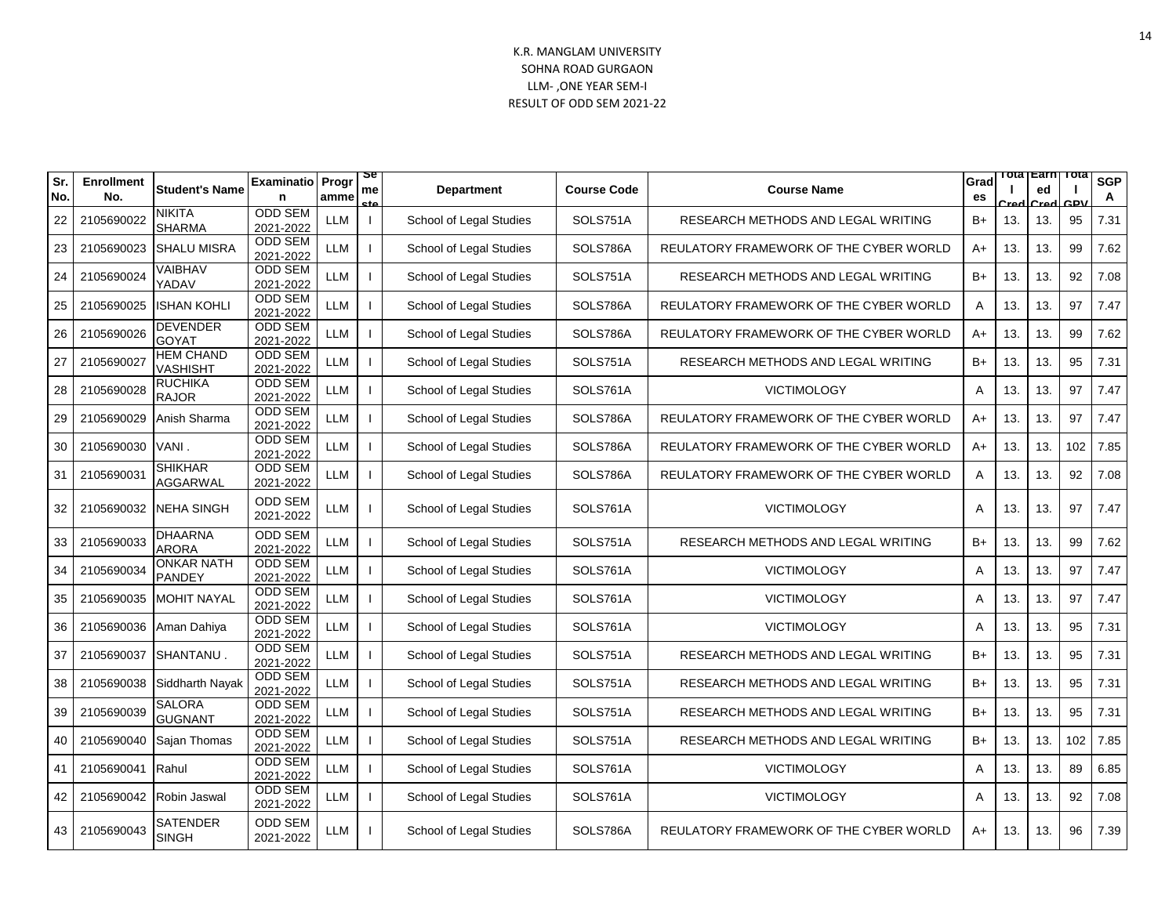| Sr.<br>No. | <b>Enrollment</b><br>No. | <b>Student's Name</b>               | <b>Examinatio</b> Progr     | amme       | œ<br>me<br>cto | <b>Department</b>       | <b>Course Code</b> | <b>Course Name</b>                     | Grad<br>es | Tota | <b>∣</b> Earn<br>ed | ⊤ота<br><b>CDV</b> | <b>SGP</b><br>A |
|------------|--------------------------|-------------------------------------|-----------------------------|------------|----------------|-------------------------|--------------------|----------------------------------------|------------|------|---------------------|--------------------|-----------------|
| 22         | 2105690022               | NIKITA<br><b>SHARMA</b>             | <b>ODD SEM</b><br>2021-2022 | <b>LLM</b> |                | School of Legal Studies | SOLS751A           | RESEARCH METHODS AND LEGAL WRITING     | B+         | 13.  | 13.                 | 95                 | 7.31            |
| 23         | 2105690023               | <b>SHALU MISRA</b>                  | <b>ODD SEM</b><br>2021-2022 | <b>LLM</b> |                | School of Legal Studies | SOLS786A           | REULATORY FRAMEWORK OF THE CYBER WORLD | $A+$       | 13.  | 13.                 | 99                 | 7.62            |
| 24         | 2105690024               | VAIBHAV<br>YADAV                    | <b>ODD SEM</b><br>2021-2022 | <b>LLM</b> |                | School of Legal Studies | SOLS751A           | RESEARCH METHODS AND LEGAL WRITING     | $B+$       | 13.  | 13.                 | 92                 | 7.08            |
| 25         | 2105690025               | <b>ISHAN KOHLI</b>                  | <b>ODD SEM</b><br>2021-2022 | LLM        |                | School of Legal Studies | SOLS786A           | REULATORY FRAMEWORK OF THE CYBER WORLD | Α          | 13.  | 13.                 | 97                 | 7.47            |
| 26         | 2105690026               | DEVENDER<br><b>GOYAT</b>            | <b>ODD SEM</b><br>2021-2022 | <b>LLM</b> |                | School of Legal Studies | SOLS786A           | REULATORY FRAMEWORK OF THE CYBER WORLD | $A+$       | 13.  | 13.                 | 99                 | 7.62            |
| 27         | 2105690027               | <b>HEM CHAND</b><br><b>VASHISHT</b> | <b>ODD SEM</b><br>2021-2022 | <b>LLM</b> |                | School of Legal Studies | SOLS751A           | RESEARCH METHODS AND LEGAL WRITING     | B+         | 13.  | 13.                 | 95                 | 7.31            |
| 28         | 2105690028               | <b>RUCHIKA</b><br><b>RAJOR</b>      | <b>ODD SEM</b><br>2021-2022 | <b>LLM</b> |                | School of Legal Studies | SOLS761A           | <b>VICTIMOLOGY</b>                     | A          | 13.  | 13.                 | 97                 | 7.47            |
| 29         | 2105690029               | Anish Sharma                        | <b>ODD SEM</b><br>2021-2022 | LLM        |                | School of Legal Studies | SOLS786A           | REULATORY FRAMEWORK OF THE CYBER WORLD | A+         | 13.  | 13.                 | 97                 | 7.47            |
| 30         | 2105690030               | VANI.                               | <b>ODD SEM</b><br>2021-2022 | <b>LLM</b> |                | School of Legal Studies | SOLS786A           | REULATORY FRAMEWORK OF THE CYBER WORLD | A+         | 13.  | 13.                 | 102                | 7.85            |
| 31         | 2105690031               | <b>SHIKHAR</b><br><b>AGGARWAL</b>   | <b>ODD SEM</b><br>2021-2022 | <b>LLM</b> |                | School of Legal Studies | SOLS786A           | REULATORY FRAMEWORK OF THE CYBER WORLD | Α          | 13.  | 13.                 | 92                 | 7.08            |
| 32         | 2105690032               | <b>NEHA SINGH</b>                   | <b>ODD SEM</b><br>2021-2022 | LLM        |                | School of Legal Studies | SOLS761A           | <b>VICTIMOLOGY</b>                     | A          | 13.  | 13.                 | 97                 | 7.47            |
| 33         | 2105690033               | <b>DHAARNA</b><br><b>ARORA</b>      | <b>ODD SEM</b><br>2021-2022 | LLM        |                | School of Legal Studies | SOLS751A           | RESEARCH METHODS AND LEGAL WRITING     | $B+$       | 13.  | 13.                 | 99                 | 7.62            |
| 34         | 2105690034               | <b>ONKAR NATH</b><br><b>PANDEY</b>  | <b>ODD SEM</b><br>2021-2022 | LLM        |                | School of Legal Studies | SOLS761A           | <b>VICTIMOLOGY</b>                     | A          | 13.  | 13.                 | 97                 | 7.47            |
| 35         | 2105690035               | <b>MOHIT NAYAL</b>                  | <b>ODD SEM</b><br>2021-2022 | <b>LLM</b> |                | School of Legal Studies | SOLS761A           | <b>VICTIMOLOGY</b>                     | A          | 13.  | 13.                 | 97                 | 7.47            |
| 36         | 2105690036               | Aman Dahiya                         | <b>ODD SEM</b><br>2021-2022 | <b>LLM</b> |                | School of Legal Studies | SOLS761A           | <b>VICTIMOLOGY</b>                     | Α          | 13.  | 13.                 | 95                 | 7.31            |
| 37         | 2105690037               | SHANTANU.                           | <b>ODD SEM</b><br>2021-2022 | <b>LLM</b> |                | School of Legal Studies | SOLS751A           | RESEARCH METHODS AND LEGAL WRITING     | $B+$       | 13.  | 13.                 | 95                 | 7.31            |
| 38         | 2105690038               | Siddharth Nayak                     | <b>ODD SEM</b><br>2021-2022 | LLM        |                | School of Legal Studies | SOLS751A           | RESEARCH METHODS AND LEGAL WRITING     | $B+$       | 13.  | 13.                 | 95                 | 7.31            |
| 39         | 2105690039               | <b>SALORA</b><br><b>GUGNANT</b>     | <b>ODD SEM</b><br>2021-2022 | <b>LLM</b> |                | School of Legal Studies | SOLS751A           | RESEARCH METHODS AND LEGAL WRITING     | $B+$       | 13.  | 13.                 | 95                 | 7.31            |
| 40         | 2105690040               | Sajan Thomas                        | <b>ODD SEM</b><br>2021-2022 | <b>LLM</b> |                | School of Legal Studies | SOLS751A           | RESEARCH METHODS AND LEGAL WRITING     | $B+$       | 13.  | 13.                 | 102                | 7.85            |
| 41         | 2105690041               | Rahul                               | ODD SEM<br>2021-2022        | LLM        |                | School of Legal Studies | SOLS761A           | <b>VICTIMOLOGY</b>                     | A          | 13.  | 13.                 | 89                 | 6.85            |
| 42         | 2105690042               | Robin Jaswal                        | <b>ODD SEM</b><br>2021-2022 | <b>LLM</b> |                | School of Legal Studies | SOLS761A           | <b>VICTIMOLOGY</b>                     | A          | 13.  | 13.                 | 92                 | 7.08            |
| 43         | 2105690043               | SATENDER<br><b>SINGH</b>            | <b>ODD SEM</b><br>2021-2022 | LLM        |                | School of Legal Studies | SOLS786A           | REULATORY FRAMEWORK OF THE CYBER WORLD | A+         | 13.  | 13.                 | 96                 | 7.39            |